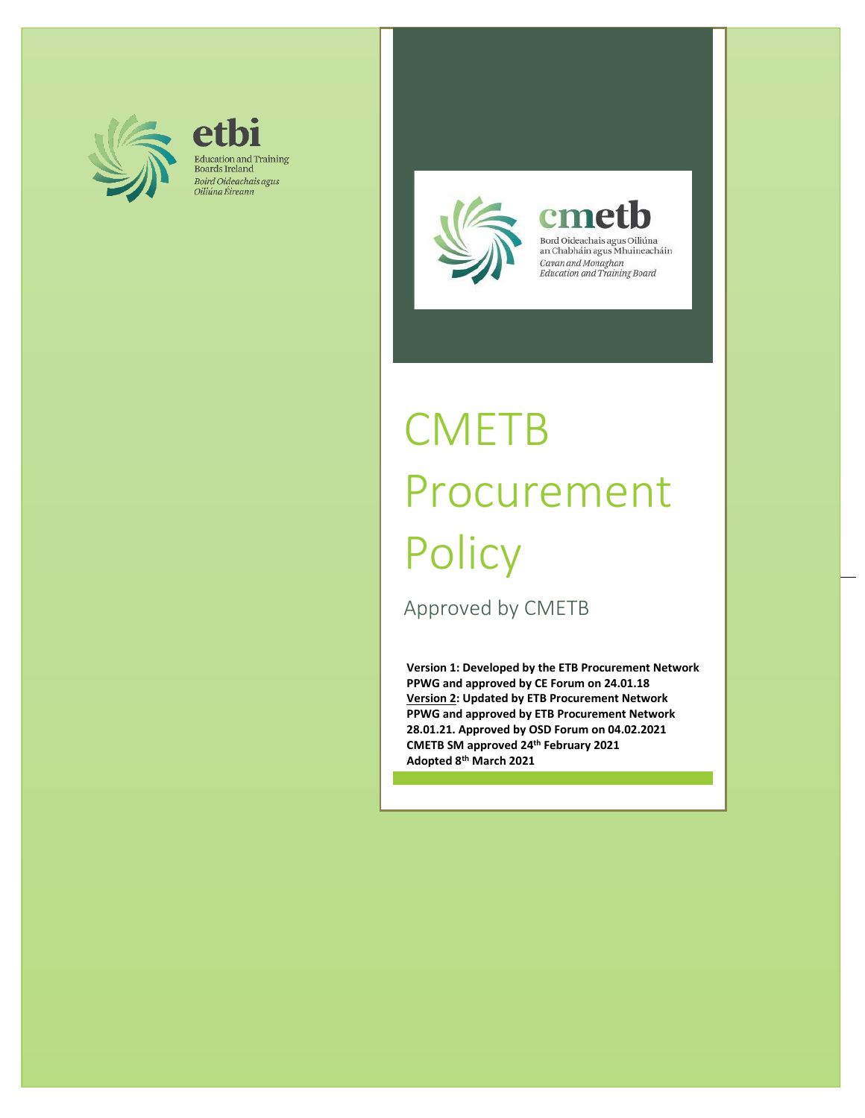

etbi Education and Training<br>Boards Ireland Boird Oideachais agus Oiliúna Éireann



cme Cavan and Monaghan<br>Education and Training Board

# **CMETB** Procurement **Policy**

Approved by CMETB

**Version 1: Developed by the ETB Procurement Network PPWG and approved by CE Forum on 24.01.18 Version 2: Updated by ETB Procurement Network PPWG and approved by ETB Procurement Network 28.01.21. Approved by OSD Forum on 04.02.2021 CMETB SM approved 24th February 2021 Adopted 8th March 2021**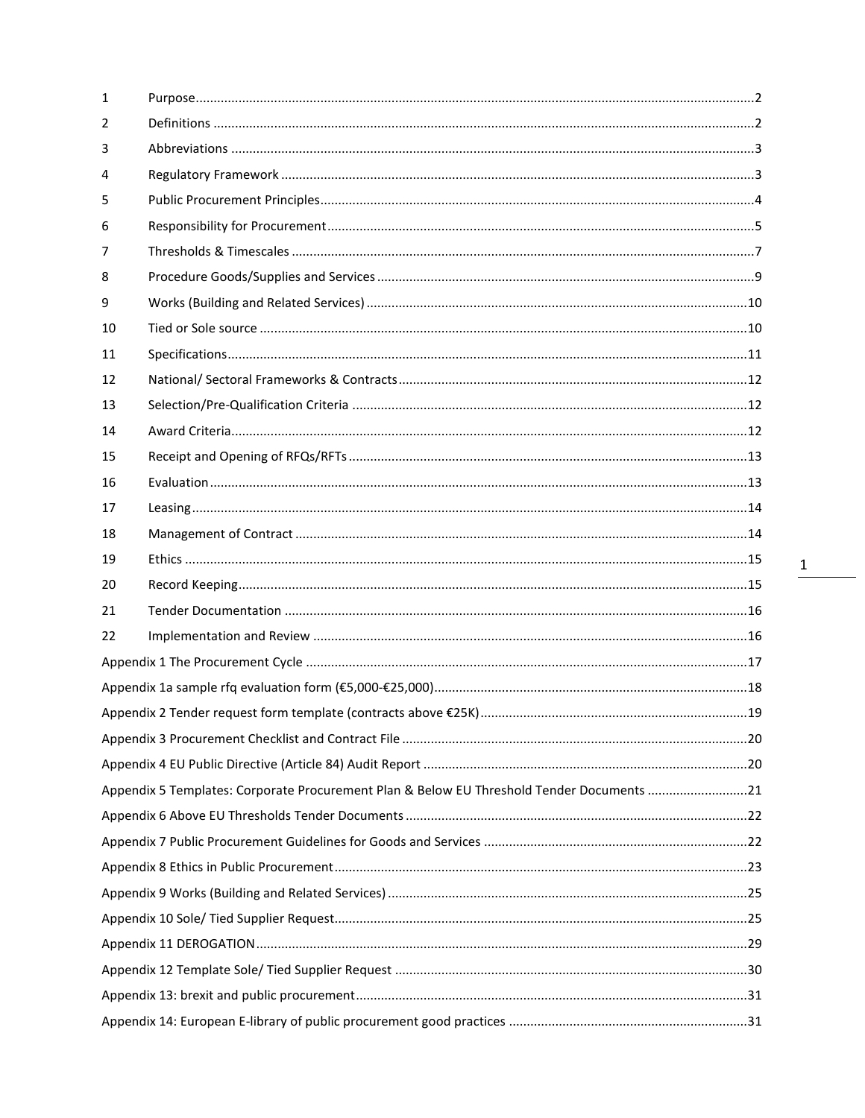| 1  |                                                                                           |  |
|----|-------------------------------------------------------------------------------------------|--|
| 2  |                                                                                           |  |
| 3  |                                                                                           |  |
| 4  |                                                                                           |  |
| 5  |                                                                                           |  |
| 6  |                                                                                           |  |
| 7  |                                                                                           |  |
| 8  |                                                                                           |  |
| 9  |                                                                                           |  |
| 10 |                                                                                           |  |
| 11 |                                                                                           |  |
| 12 |                                                                                           |  |
| 13 |                                                                                           |  |
| 14 |                                                                                           |  |
| 15 |                                                                                           |  |
| 16 |                                                                                           |  |
| 17 |                                                                                           |  |
| 18 |                                                                                           |  |
| 19 |                                                                                           |  |
| 20 |                                                                                           |  |
| 21 |                                                                                           |  |
| 22 |                                                                                           |  |
|    |                                                                                           |  |
|    |                                                                                           |  |
|    |                                                                                           |  |
|    |                                                                                           |  |
|    |                                                                                           |  |
|    | Appendix 5 Templates: Corporate Procurement Plan & Below EU Threshold Tender Documents 21 |  |
|    |                                                                                           |  |
|    |                                                                                           |  |
|    |                                                                                           |  |
|    |                                                                                           |  |
|    |                                                                                           |  |
|    |                                                                                           |  |
|    |                                                                                           |  |
|    |                                                                                           |  |
|    |                                                                                           |  |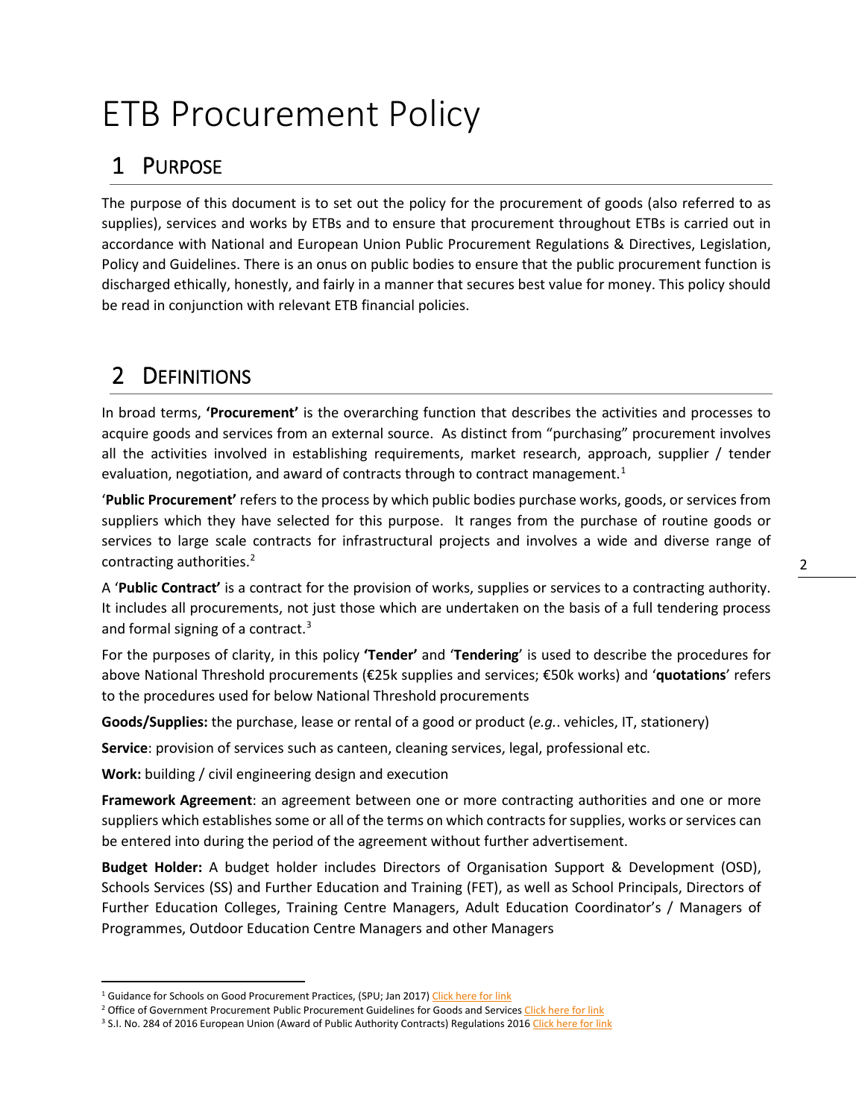# ETB Procurement Policy

# <span id="page-2-0"></span>1 PURPOSE

The purpose of this document is to set out the policy for the procurement of goods (also referred to as supplies), services and works by ETBs and to ensure that procurement throughout ETBs is carried out in accordance with National and European Union Public Procurement Regulations & Directives, Legislation, Policy and Guidelines. There is an onus on public bodies to ensure that the public procurement function is discharged ethically, honestly, and fairly in a manner that secures best value for money. This policy should be read in conjunction with relevant ETB financial policies.

# <span id="page-2-1"></span>2 DEFINITIONS

In broad terms, **'Procurement'** is the overarching function that describes the activities and processes to acquire goods and services from an external source. As distinct from "purchasing" procurement involves all the activities involved in establishing requirements, market research, approach, supplier / tender evaluation, negotiation, and award of contracts through to contract management.<sup>[1](#page-2-2)</sup>

'**Public Procurement'** refers to the process by which public bodies purchase works, goods, or services from suppliers which they have selected for this purpose. It ranges from the purchase of routine goods or services to large scale contracts for infrastructural projects and involves a wide and diverse range of contracting authorities.<sup>[2](#page-2-3)</sup>

A '**Public Contract'** is a contract for the provision of works, supplies or services to a contracting authority. It includes all procurements, not just those which are undertaken on the basis of a full tendering process and formal signing of a contract.<sup>[3](#page-2-4)</sup>

For the purposes of clarity, in this policy **'Tender'** and '**Tendering**' is used to describe the procedures for above National Threshold procurements (€25k supplies and services; €50k works) and '**quotations**' refers to the procedures used for below National Threshold procurements

**Goods/Supplies:** the purchase, lease or rental of a good or product (*e.g.*. vehicles, IT, stationery)

**Service**: provision of services such as canteen, cleaning services, legal, professional etc.

**Work:** building / civil engineering design and execution

**Framework Agreement**: an agreement between one or more contracting authorities and one or more suppliers which establishes some or all of the terms on which contracts for supplies, works or services can be entered into during the period of the agreement without further advertisement.

**Budget Holder:** A budget holder includes Directors of Organisation Support & Development (OSD), Schools Services (SS) and Further Education and Training (FET), as well as School Principals, Directors of Further Education Colleges, Training Centre Managers, Adult Education Coordinator's / Managers of Programmes, Outdoor Education Centre Managers and other Managers

<span id="page-2-2"></span><sup>&</sup>lt;sup>1</sup> Guidance for Schools on Good Procurement Practices, (SPU; Jan 2017[\) Click here for link](http://www.education.ie/en/Schools-Colleges/Information/Procurement/Guidance-for-Schools-on-Good-Procurement-Practices.pdf)

<span id="page-2-3"></span><sup>&</sup>lt;sup>2</sup> Office of Government Procurement Public Procurement Guidelines for Goods and Services [Click here for link](https://ogp.gov.ie/public-procurement-guidelines-for-goods-and-services/)

<span id="page-2-4"></span><sup>&</sup>lt;sup>3</sup> S.I. No. 284 of 2016 European Union (Award of Public Authority Contracts) Regulations 2016 [Click here for link](http://ogp.gov.ie/wp-content/uploads/S.I.-No.-284-of-2016.pdf)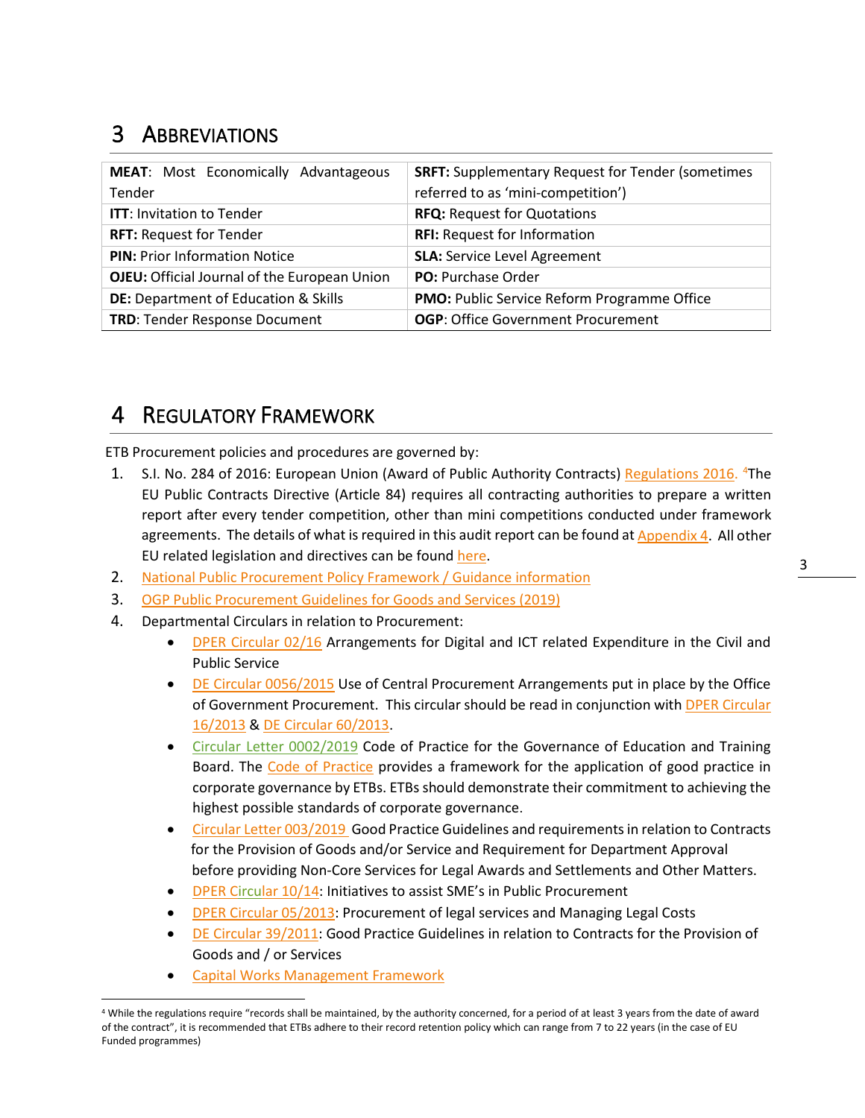# <span id="page-3-0"></span>3 ABBREVIATIONS

| <b>MEAT:</b> Most Economically Advantageous<br>Tender | <b>SRFT:</b> Supplementary Request for Tender (sometimes<br>referred to as 'mini-competition') |
|-------------------------------------------------------|------------------------------------------------------------------------------------------------|
| <b>ITT: Invitation to Tender</b>                      | <b>RFQ: Request for Quotations</b>                                                             |
| <b>RFT: Request for Tender</b>                        | <b>RFI:</b> Request for Information                                                            |
| <b>PIN: Prior Information Notice</b>                  | <b>SLA: Service Level Agreement</b>                                                            |
| OJEU: Official Journal of the European Union          | PO: Purchase Order                                                                             |
| <b>DE: Department of Education &amp; Skills</b>       | PMO: Public Service Reform Programme Office                                                    |
| <b>TRD: Tender Response Document</b>                  | <b>OGP:</b> Office Government Procurement                                                      |

# <span id="page-3-1"></span>4 REGULATORY FRAMEWORK

ETB Procurement policies and procedures are governed by:

- 1. S.I. No. 284 of 2016: European Union (Award of Public Authority Contracts) [Regulations 2016.](http://ogp.gov.ie/wp-content/uploads/S.I.-No.-284-of-2016.pdf) <sup>[4](#page-3-2)</sup>The EU Public Contracts Directive (Article 84) requires all contracting authorities to prepare a written report after every tender competition, other than mini competitions conducted under framework agreements. The details of what is required in this audit report can be found a[t Appendix](#page-20-1) 4. All other EU related legislation and directives can be found [here.](http://ogp.gov.ie/guidelines-sub-menu-procurement-legislation/)
- 2. [National Public Procurement Policy](https://ogp.gov.ie/national-public-procurement-policy-framework/#:%7E:text=The%20framework%20sets%20out%20the,under%20national%20and%20EU%20rules.&text=It%20supports%20and%20enables%20Public,EU%20and%20National%20Procurement%20Rules.) Framework / Guidance information
- 3. [OGP Public Procurement Guidelines for Goods and Services \(2019\)](https://ogp.gov.ie/public-procurement-guidelines-for-goods-and-services/)
- 4. Departmental Circulars in relation to Procurement:
	- [DPER Circular 02/16](http://ogp.gov.ie/wp-content/uploads/Circular-02-2016-Arrangements-for-Digital-and-ICT-related-Expenditure-in-the-Civil-and-Public-Service.pdf) Arrangements for Digital and ICT related Expenditure in the Civil and Public Service
	- DE [Circular 0056/2015](https://www.education.ie/en/Circulars-and-Forms/Active-Circulars/cl0056_2015.pdf) Use of Central Procurement Arrangements put in place by the Office of Government Procurement. This circular should be read in conjunction with [DPER Circular](http://ogp.gov.ie/wp-content/uploads/Circular-16-2013.pdf)  [16/2013](http://ogp.gov.ie/wp-content/uploads/Circular-16-2013.pdf) & DE [Circular 60/2013.](http://www.education.ie/en/Circulars-and-Forms/Active-Circulars/cl0060_2013.pdf)
	- [Circular Letter 0002/2019](https://www.education.ie/en/Circulars-and-Forms/Active-Circulars/cl0002_2019.pdf) Code of Practice for the Governance of Education and Training Board. The [Code of Practice](https://www.gov.ie/en/circular/0a3cec87a1a54c1a98ffa59df28077c8/) provides a framework for the application of good practice in corporate governance by ETBs. ETBs should demonstrate their commitment to achieving the highest possible standards of corporate governance.
	- [Circular Letter 003/2019](https://www.education.ie/en/Circulars-and-Forms/Active-Circulars/cl0003_2019.pdf) Good Practice Guidelines and requirements in relation to Contracts for the Provision of Goods and/or Service and Requirement for Department Approval before providing Non-Core Services for Legal Awards and Settlements and Other Matters.
	- [DPER Circular 10/14:](http://ogp.gov.ie/wp-content/uploads/Circular_10-14_01.pdf) Initiatives to assist SME's in Public Procurement
	- [DPER Circular 05/2013:](http://circulars.gov.ie/pdf/circular/per/2013/05.pdf) Procurement of legal services and Managing Legal Costs
	- DE [Circular 39/2011:](https://circulars.gov.ie/pdf/circular/education/2011/39.pdf) Good Practice Guidelines in relation to Contracts for the Provision of Goods and / or Services
	- [Capital Works Management Framework](https://constructionprocurement.gov.ie/circulars/)

<span id="page-3-2"></span><sup>&</sup>lt;sup>4</sup> While the regulations require "records shall be maintained, by the authority concerned, for a period of at least 3 years from the date of award of the contract", it is recommended that ETBs adhere to their record retention policy which can range from 7 to 22 years (in the case of EU Funded programmes)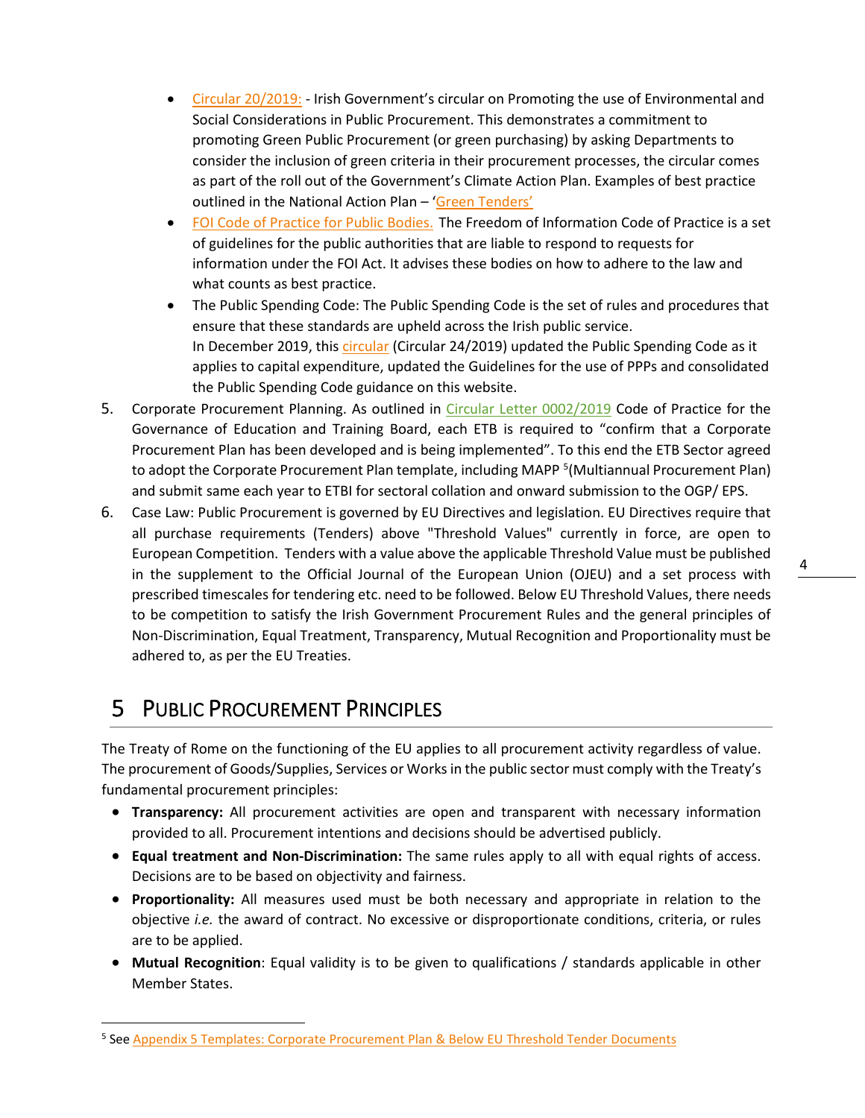- [Circular 20/2019:](https://www.gov.ie/en/circular/circular-20-2019/) Irish Government's circular on Promoting the use of Environmental and Social Considerations in Public Procurement. This demonstrates a commitment to promoting Green Public Procurement (or green purchasing) by asking Departments to consider the inclusion of green criteria in their procurement processes, the circular comes as part of the roll out of the Government's Climate Action Plan. Examples of best practice outlined in the National Action Plan - ['Green Tenders'](http://etenders.gov.ie/Media/Default/SiteContent/LegislationGuides/13.%20Green%20Tenders%20-%20An%20Action%20Plan%20on%20Green%20Public%20Procurement.pdf)
- [FOI Code of Practice for Public Bodies.](https://foi.gov.ie/code-of-practice/) The Freedom of Information Code of Practice is a set of guidelines for the public authorities that are liable to respond to requests for information under the FOI Act. It advises these bodies on how to adhere to the law and what counts as best practice.
- The Public Spending Code: The Public Spending Code is the set of rules and procedures that ensure that these standards are upheld across the Irish public service. In December 2019, this *[circular](https://www.gov.ie/en/circular/716f16-update-of-the-public-spending-code-psc-guidelines-for-the-use-of-pub/)* (Circular 24/2019) updated the Public Spending Code as it applies to capital expenditure, updated the Guidelines for the use of PPPs and consolidated the Public Spending Code guidance on this website.
- 5. Corporate Procurement Planning. As outlined in [Circular Letter 0002/2019](https://www.education.ie/en/Circulars-and-Forms/Active-Circulars/cl0002_2019.pdf) Code of Practice for the Governance of Education and Training Board, each ETB is required to "confirm that a Corporate Procurement Plan has been developed and is being implemented". To this end the ETB Sector agreed to adopt the Corporate Procurement Plan template, including MAPP<sup>[5](#page-4-1)</sup> (Multiannual Procurement Plan) and submit same each year to ETBI for sectoral collation and onward submission to the OGP/ EPS.
- 6. Case Law: Public Procurement is governed by EU Directives and legislation. EU Directives require that all purchase requirements (Tenders) above "Threshold Values" currently in force, are open to European Competition. Tenders with a value above the applicable Threshold Value must be published in the supplement to the Official Journal of the European Union (OJEU) and a set process with prescribed timescales for tendering etc. need to be followed. Below EU Threshold Values, there needs to be competition to satisfy the Irish Government Procurement Rules and the general principles of Non-Discrimination, Equal Treatment, Transparency, Mutual Recognition and Proportionality must be adhered to, as per the EU Treaties.

# <span id="page-4-0"></span>5 PUBLIC PROCUREMENT PRINCIPLES

The Treaty of Rome on the functioning of the EU applies to all procurement activity regardless of value. The procurement of Goods/Supplies, Services or Works in the public sector must comply with the Treaty's fundamental procurement principles:

- **Transparency:** All procurement activities are open and transparent with necessary information provided to all. Procurement intentions and decisions should be advertised publicly.
- **Equal treatment and Non-Discrimination:** The same rules apply to all with equal rights of access. Decisions are to be based on objectivity and fairness.
- **Proportionality:** All measures used must be both necessary and appropriate in relation to the objective *i.e.* the award of contract. No excessive or disproportionate conditions, criteria, or rules are to be applied.
- **Mutual Recognition**: Equal validity is to be given to qualifications / standards applicable in other Member States.

<span id="page-4-1"></span><sup>&</sup>lt;sup>5</sup> See [Appendix 5 Templates: Corporate Procurement Plan & Below EU Threshold Tender Documents](#page-21-0)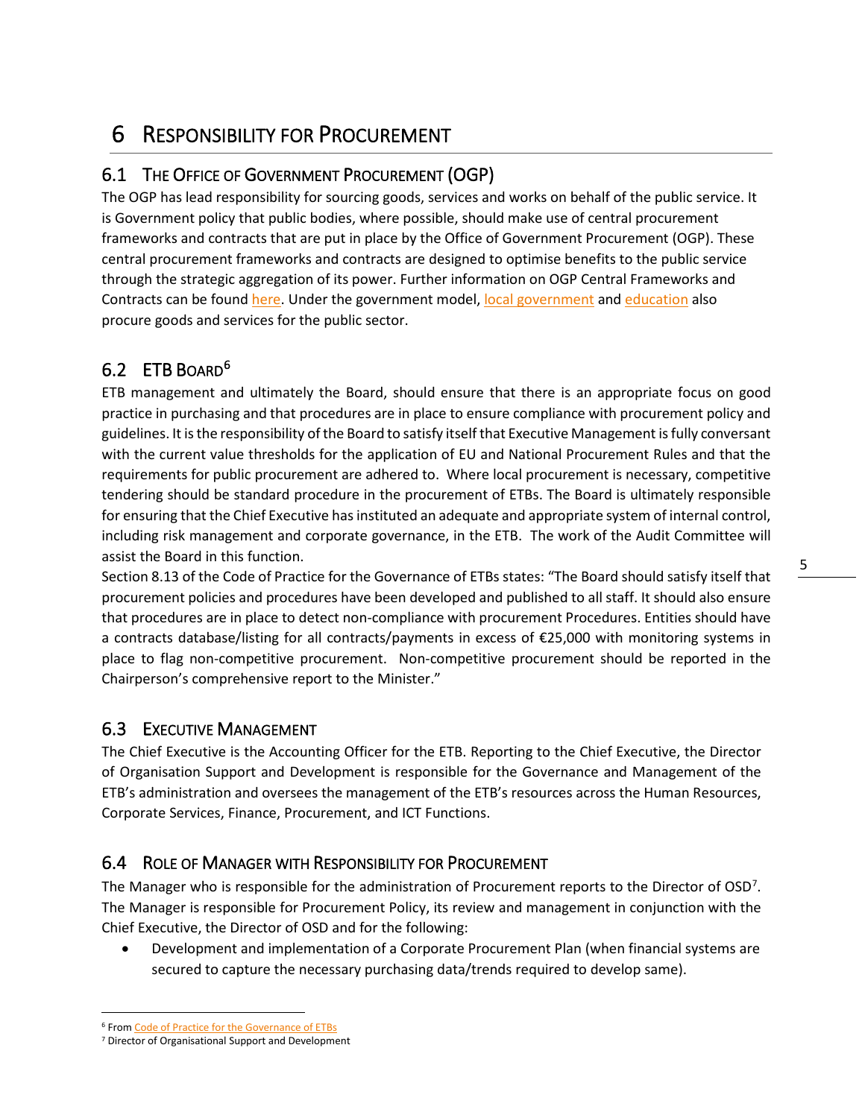# <span id="page-5-0"></span>6 RESPONSIBILITY FOR PROCUREMENT

### 6.1 THE OFFICE OF GOVERNMENT PROCUREMENT (OGP)

The OGP has lead responsibility for sourcing goods, services and works on behalf of the public service. It is Government policy that public bodies, where possible, should make use of central procurement frameworks and contracts that are put in place by the Office of Government Procurement (OGP). These central procurement frameworks and contracts are designed to optimise benefits to the public service through the strategic aggregation of its power. Further information on OGP Central Frameworks and Contracts can be found [here.](http://ogp.gov.ie/) Under the government model, [local government](https://www.laquotes.ie/) an[d education](https://www.educationprocurementservice.ie/) also procure goods and services for the public sector.

### [6](#page-5-1).2 ETB BOARD<sup>6</sup>

ETB management and ultimately the Board, should ensure that there is an appropriate focus on good practice in purchasing and that procedures are in place to ensure compliance with procurement policy and guidelines. It is the responsibility of the Board to satisfy itself that Executive Management is fully conversant with the current value thresholds for the application of EU and National Procurement Rules and that the requirements for public procurement are adhered to. Where local procurement is necessary, competitive tendering should be standard procedure in the procurement of ETBs. The Board is ultimately responsible for ensuring that the Chief Executive has instituted an adequate and appropriate system of internal control, including risk management and corporate governance, in the ETB. The work of the Audit Committee will assist the Board in this function.

Section 8.13 of the Code of Practice for the Governance of ETBs states: "The Board should satisfy itself that procurement policies and procedures have been developed and published to all staff. It should also ensure that procedures are in place to detect non-compliance with procurement Procedures. Entities should have a contracts database/listing for all contracts/payments in excess of €25,000 with monitoring systems in place to flag non-competitive procurement. Non-competitive procurement should be reported in the Chairperson's comprehensive report to the Minister."

#### 6.3 EXECUTIVE MANAGEMENT

The Chief Executive is the Accounting Officer for the ETB. Reporting to the Chief Executive, the Director of Organisation Support and Development is responsible for the Governance and Management of the ETB's administration and oversees the management of the ETB's resources across the Human Resources, Corporate Services, Finance, Procurement, and ICT Functions.

#### 6.4 ROLE OF MANAGER WITH RESPONSIBILITY FOR PROCUREMENT

The Manager who is responsible for the administration of Procurement reports to the Director of OSD<sup>[7](#page-5-2)</sup>. The Manager is responsible for Procurement Policy, its review and management in conjunction with the Chief Executive, the Director of OSD and for the following:

• Development and implementation of a Corporate Procurement Plan (when financial systems are secured to capture the necessary purchasing data/trends required to develop same).

5

<span id="page-5-1"></span><sup>6</sup> Fro[m Code of Practice for the Governance of ETBs](https://www.education.ie/en/Circulars-and-Forms/Active-Circulars/cl0002_2019.pdf)

<span id="page-5-2"></span><sup>7</sup> Director of Organisational Support and Development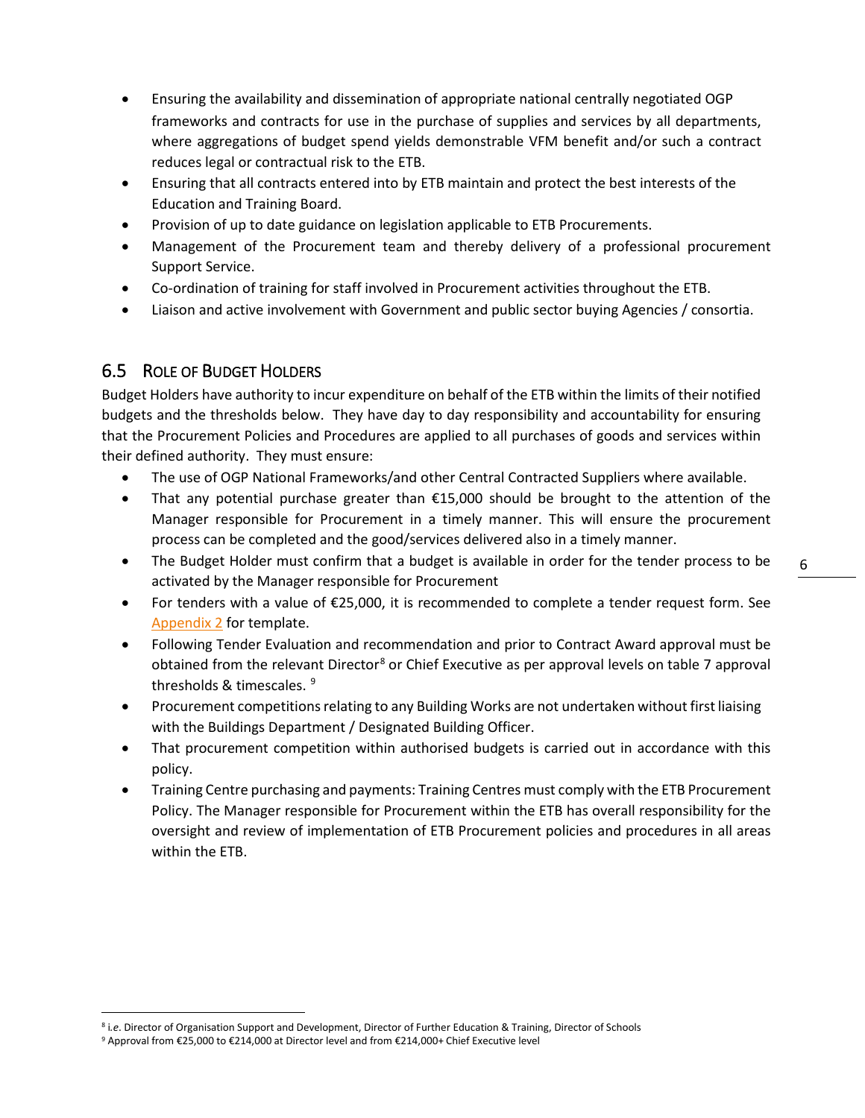- Ensuring the availability and dissemination of appropriate national centrally negotiated OGP frameworks and contracts for use in the purchase of supplies and services by all departments, where aggregations of budget spend yields demonstrable VFM benefit and/or such a contract reduces legal or contractual risk to the ETB.
- Ensuring that all contracts entered into by ETB maintain and protect the best interests of the Education and Training Board.
- Provision of up to date guidance on legislation applicable to ETB Procurements.
- Management of the Procurement team and thereby delivery of a professional procurement Support Service.
- Co-ordination of training for staff involved in Procurement activities throughout the ETB.
- Liaison and active involvement with Government and public sector buying Agencies / consortia.

#### 6.5 ROLE OF BUDGET HOLDERS

Budget Holders have authority to incur expenditure on behalf of the ETB within the limits of their notified budgets and the thresholds below. They have day to day responsibility and accountability for ensuring that the Procurement Policies and Procedures are applied to all purchases of goods and services within their defined authority. They must ensure:

- The use of OGP National Frameworks/and other Central Contracted Suppliers where available.
- That any potential purchase greater than €15,000 should be brought to the attention of the Manager responsible for Procurement in a timely manner. This will ensure the procurement process can be completed and the good/services delivered also in a timely manner.
- The Budget Holder must confirm that a budget is available in order for the tender process to be activated by the Manager responsible for Procurement
- For tenders with a value of €25,000, it is recommended to complete a tender request form. See [Appendix 2](#page-18-0) for template.
- Following Tender Evaluation and recommendation and prior to Contract Award approval must be obtained from the relevant Director<sup>[8](#page-6-0)</sup> or Chief Executive as per approval levels on table 7 approval thresholds & timescales. <sup>[9](#page-6-1)</sup>
- Procurement competitions relating to any Building Works are not undertaken without first liaising with the Buildings Department / Designated Building Officer.
- That procurement competition within authorised budgets is carried out in accordance with this policy.
- Training Centre purchasing and payments: Training Centres must comply with the ETB Procurement Policy. The Manager responsible for Procurement within the ETB has overall responsibility for the oversight and review of implementation of ETB Procurement policies and procedures in all areas within the ETB.

<span id="page-6-0"></span><sup>&</sup>lt;sup>8</sup> i.*e*. Director of Organisation Support and Development, Director of Further Education & Training, Director of Schools<br><sup>9</sup> Approval from €25,000 to €214,000 at Director level and from €214,000+ Chief Executive level

<span id="page-6-1"></span>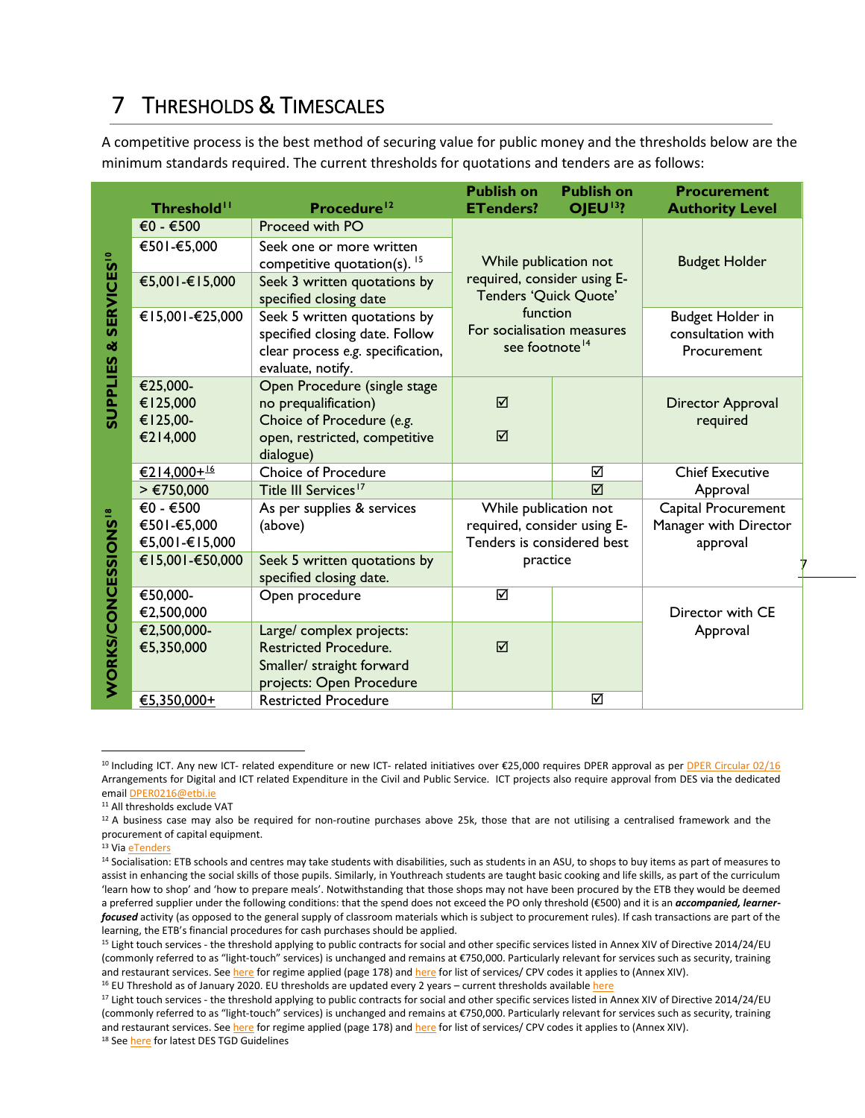# <span id="page-7-0"></span>7 THRESHOLDS & TIMESCALES

A competitive process is the best method of securing value for public money and the thresholds below are the minimum standards required. The current thresholds for quotations and tenders are as follows:

|                                       | Threshold <sup>11</sup>                      | Procedure <sup>12</sup>                                                                                                         | <b>Publish on</b><br><b>ETenders?</b>                                                          | <b>Publish on</b><br>OJEU <sup>13</sup> ? | <b>Procurement</b><br><b>Authority Level</b>                |  |
|---------------------------------------|----------------------------------------------|---------------------------------------------------------------------------------------------------------------------------------|------------------------------------------------------------------------------------------------|-------------------------------------------|-------------------------------------------------------------|--|
|                                       | €0 - €500                                    | Proceed with PO                                                                                                                 |                                                                                                |                                           |                                                             |  |
|                                       | €501-€5,000                                  | Seek one or more written<br>competitive quotation(s). $15$                                                                      | While publication not                                                                          |                                           | <b>Budget Holder</b>                                        |  |
| <b>SERVICES<sup>10</sup></b>          | €5,001-€15,000                               | Seek 3 written quotations by<br>specified closing date                                                                          | required, consider using E-<br>Tenders 'Quick Quote'                                           |                                           |                                                             |  |
| ŏ                                     | €15,001-€25,000                              | Seek 5 written quotations by<br>specified closing date. Follow<br>clear process e.g. specification,<br>evaluate, notify.        | function<br>For socialisation measures<br>see footnote <sup>14</sup>                           |                                           | <b>Budget Holder in</b><br>consultation with<br>Procurement |  |
| <b>SUPPLIES</b>                       | €25,000-<br>€125,000<br>€125,00-<br>€214,000 | Open Procedure (single stage<br>no prequalification)<br>Choice of Procedure (e.g.<br>open, restricted, competitive<br>dialogue) | ☑<br>☑                                                                                         |                                           | <b>Director Approval</b><br>required                        |  |
|                                       | €214,000+ <sup>16</sup>                      | <b>Choice of Procedure</b>                                                                                                      |                                                                                                | ☑                                         | <b>Chief Executive</b>                                      |  |
|                                       | > €750,000                                   | Title III Services <sup>17</sup>                                                                                                |                                                                                                | ☑                                         | Approval                                                    |  |
|                                       | €0 - €500<br>€501-€5,000<br>€5,001-€15,000   | As per supplies & services<br>(above)                                                                                           | While publication not<br>required, consider using E-<br>Tenders is considered best<br>practice |                                           | Capital Procurement<br>Manager with Director<br>approval    |  |
|                                       | €15,001-€50,000                              | Seek 5 written quotations by<br>specified closing date.                                                                         |                                                                                                |                                           |                                                             |  |
|                                       | €50,000-<br>€2,500,000                       | Open procedure                                                                                                                  | ☑                                                                                              |                                           | Director with CE                                            |  |
| <b>WORKS/CONCESSIONS<sup>18</sup></b> | €2,500,000-<br>€5,350,000                    | Large/ complex projects:<br><b>Restricted Procedure.</b><br>Smaller/ straight forward<br>projects: Open Procedure               | ☑                                                                                              |                                           | Approval                                                    |  |
|                                       | €5,350,000+                                  | <b>Restricted Procedure</b>                                                                                                     |                                                                                                | ☑                                         |                                                             |  |

<sup>&</sup>lt;sup>10</sup> Including ICT. Any new ICT- related expenditure or new ICT- related initiatives over €25,000 requires DPER approval as per **DPER Circular 02/16** Arrangements for Digital and ICT related Expenditure in the Civil and Public Service. ICT projects also require approval from DES via the dedicated emai[l DPER0216@etbi.ie](mailto:DPER0216@etbi.ie)

13 Vi[a eTenders](http://etenders.gov.ie/)

<span id="page-7-1"></span><sup>11</sup> All thresholds exclude VAT

<span id="page-7-2"></span> $12$  A business case may also be required for non-routine purchases above 25k, those that are not utilising a centralised framework and the procurement of capital equipment.

<span id="page-7-4"></span><span id="page-7-3"></span><sup>&</sup>lt;sup>14</sup> Socialisation: ETB schools and centres may take students with disabilities, such as students in an ASU, to shops to buy items as part of measures to assist in enhancing the social skills of those pupils. Similarly, in Youthreach students are taught basic cooking and life skills, as part of the curriculum 'learn how to shop' and 'how to prepare meals'. Notwithstanding that those shops may not have been procured by the ETB they would be deemed a preferred supplier under the following conditions: that the spend does not exceed the PO only threshold (€500) and it is an *accompanied, learnerfocused* activity (as opposed to the general supply of classroom materials which is subject to procurement rules). If cash transactions are part of the learning, the ETB's financial procedures for cash purchases should be applied.<br><sup>15</sup> Light touch services - the threshold applying to public contracts for social and other specific services listed in Annex XIV of Directive

<span id="page-7-5"></span><sup>(</sup>commonly referred to as "light-touch" services) is unchanged and remains at €750,000. Particularly relevant for services such as security, training and restaurant services. See here [f](http://eur-lex.europa.eu/legal-content/EN/TXT/HTML/?uri=CELEX:32014L0024&from=EN)or regime applied (page 178) and here for list of services/ CPV codes it applies to (Annex XIV).<br><sup>16</sup> EU Threshold as of January 2020. EU thresholds are updated every 2 years – current th

<span id="page-7-7"></span><span id="page-7-6"></span><sup>&</sup>lt;sup>17</sup> Light touch services - the threshold applying to public contracts for social and other specific services listed in Annex XIV of Directive 2014/24/EU (commonly referred to as "light-touch" services) is unchanged and remains at €750,000. Particularly relevant for services such as security, training and restaurant services. See here [f](http://eur-lex.europa.eu/legal-content/EN/TXT/HTML/?uri=CELEX:32014L0024&from=EN)or regime applied (page 178) and here for list of services/ CPV codes it applies to (Annex XIV).<br><sup>18</sup> Se[e here](http://www.education.ie/en/School-Design/Technical-Guidance-Documents/) for latest DES TGD Guidelines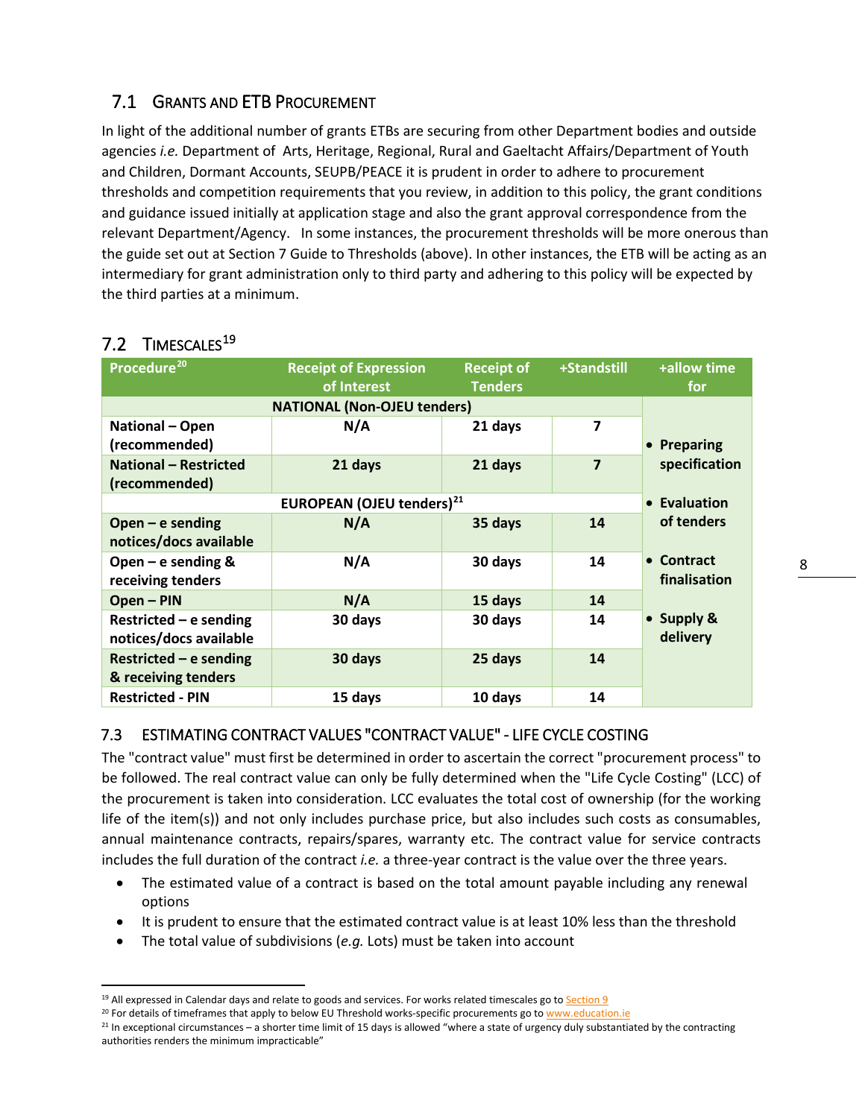### 7.1 GRANTS AND ETB PROCUREMENT

In light of the additional number of grants ETBs are securing from other Department bodies and outside agencies *i.e.* Department of Arts, Heritage, Regional, Rural and Gaeltacht Affairs/Department of Youth and Children, Dormant Accounts, SEUPB/PEACE it is prudent in order to adhere to procurement thresholds and competition requirements that you review, in addition to this policy, the grant conditions and guidance issued initially at application stage and also the grant approval correspondence from the relevant Department/Agency. In some instances, the procurement thresholds will be more onerous than the guide set out at Section 7 Guide to Thresholds (above). In other instances, the ETB will be acting as an intermediary for grant administration only to third party and adhering to this policy will be expected by the third parties at a minimum.

| Procedure <sup>20</sup>      | <b>Receipt of Expression</b><br>of Interest  | +Standstill<br><b>Receipt of</b><br><b>Tenders</b> |                         | +allow time<br>for     |
|------------------------------|----------------------------------------------|----------------------------------------------------|-------------------------|------------------------|
|                              | <b>NATIONAL (Non-OJEU tenders)</b>           |                                                    |                         |                        |
| National - Open              | N/A                                          | 21 days                                            | $\overline{\mathbf{z}}$ |                        |
| (recommended)                |                                              |                                                    |                         | Preparing<br>$\bullet$ |
| <b>National - Restricted</b> | 21 days                                      | 21 days                                            | $\overline{\mathbf{z}}$ | specification          |
| (recommended)                |                                              |                                                    |                         |                        |
|                              | <b>EUROPEAN (OJEU tenders)</b> <sup>21</sup> |                                                    |                         | • Evaluation           |
| Open $-$ e sending           | N/A                                          | 35 days                                            | 14                      | of tenders             |
| notices/docs available       |                                              |                                                    |                         |                        |
| Open $-$ e sending &         | N/A                                          | 30 days                                            | 14                      | • Contract             |
| receiving tenders            |                                              |                                                    |                         | finalisation           |
| Open - PIN                   | N/A                                          | 15 days                                            | 14                      |                        |
| Restricted $-$ e sending     | 30 days                                      | 30 days                                            | 14                      | • Supply &             |
| notices/docs available       |                                              |                                                    |                         | delivery               |
| Restricted $-$ e sending     | 30 days                                      | 25 days                                            | 14                      |                        |
| & receiving tenders          |                                              |                                                    |                         |                        |
| <b>Restricted - PIN</b>      | 15 days                                      | 10 days                                            | 14                      |                        |

### 7.2 TIMESCALES<sup>[19](#page-8-0)</sup>

#### 7.3 ESTIMATING CONTRACT VALUES "CONTRACT VALUE" - LIFE CYCLE COSTING

The "contract value" must first be determined in order to ascertain the correct "procurement process" to be followed. The real contract value can only be fully determined when the "Life Cycle Costing" (LCC) of the procurement is taken into consideration. LCC evaluates the total cost of ownership (for the working life of the item(s)) and not only includes purchase price, but also includes such costs as consumables, annual maintenance contracts, repairs/spares, warranty etc. The contract value for service contracts includes the full duration of the contract *i.e.* a three-year contract is the value over the three years.

- The estimated value of a contract is based on the total amount payable including any renewal options
- It is prudent to ensure that the estimated contract value is at least 10% less than the threshold
- The total value of subdivisions (*e.g.* Lots) must be taken into account

<span id="page-8-1"></span><span id="page-8-0"></span><sup>&</sup>lt;sup>19</sup> All expressed in Calendar days and relate to goods and services. For works related timescales go to **Section 9** 

 $20$  For details of timeframes that apply to below EU Threshold works-specific procurements go to [www.education.ie](http://www.education.ie/)

<span id="page-8-2"></span> $^{21}$  In exceptional circumstances – a shorter time limit of 15 days is allowed "where a state of urgency duly substantiated by the contracting authorities renders the minimum impracticable"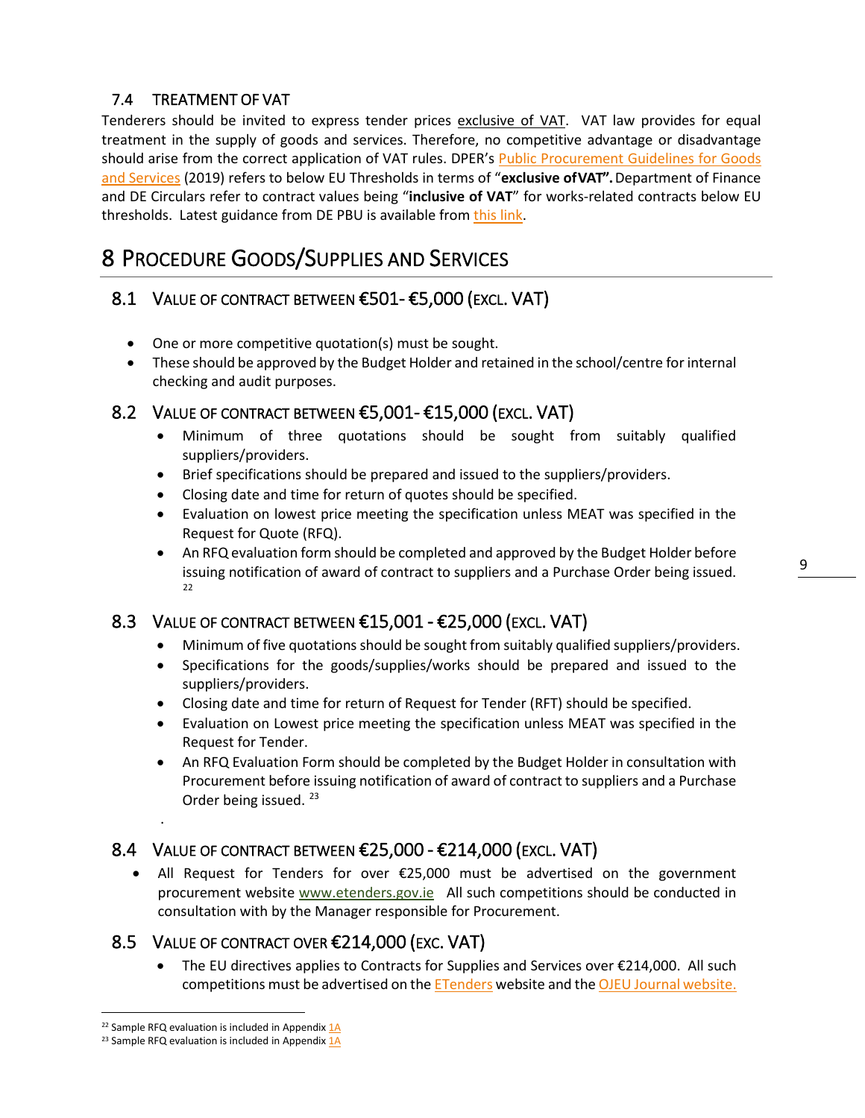#### 7.4 TREATMENT OF VAT

Tenderers should be invited to express tender prices exclusive of VAT. VAT law provides for equal treatment in the supply of goods and services. Therefore, no competitive advantage or disadvantage should arise from the correct application of VAT rules. DPER's [Public Procurement Guidelines for Goods](http://ogp.gov.ie/public-procurement-guidelines-for-goods-and-services/)  [and Services](http://ogp.gov.ie/public-procurement-guidelines-for-goods-and-services/) (2019) refers to below EU Thresholds in terms of "**exclusive ofVAT".** Department of Finance and DE Circulars refer to contract values being "**inclusive of VAT**" for works-related contracts below EU thresholds. Latest guidance from DE PBU is available from [this link.](http://www.education.ie/en/School-Design/Technical-Guidance-Documents/)

# <span id="page-9-0"></span>8 PROCEDURE GOODS/SUPPLIES AND SERVICES

### 8.1 VALUE OF CONTRACT BETWEEN €501- €5,000 (EXCL. VAT)

- One or more competitive quotation(s) must be sought.
- These should be approved by the Budget Holder and retained in the school/centre for internal checking and audit purposes.

### 8.2 VALUE OF CONTRACT BETWEEN  $\epsilon$ 5,001- $\epsilon$ 15,000 (EXCL. VAT)

- Minimum of three quotations should be sought from suitably qualified suppliers/providers.
- Brief specifications should be prepared and issued to the suppliers/providers.
- Closing date and time for return of quotes should be specified.
- Evaluation on lowest price meeting the specification unless MEAT was specified in the Request for Quote (RFQ).
- An RFQ evaluation form should be completed and approved by the Budget Holder before [iss](#page-9-1)uing notification of award of contract to suppliers and a Purchase Order being issued.<br><sup>[22](#page-9-1)</sup>

### 8.3 VALUE OF CONTRACT BETWEEN  $£15,001 - £25,000$  (EXCL. VAT)

- Minimum of five quotations should be sought from suitably qualified suppliers/providers.
- Specifications for the goods/supplies/works should be prepared and issued to the suppliers/providers.
- Closing date and time for return of Request for Tender (RFT) should be specified.
- Evaluation on Lowest price meeting the specification unless MEAT was specified in the Request for Tender.
- An RFQ Evaluation Form should be completed by the Budget Holder in consultation with Procurement before issuing notification of award of contract to suppliers and a Purchase Order being issued.<sup>[23](#page-9-2)</sup>

### 8.4 VALUE OF CONTRACT BETWEEN  $\epsilon$ 25,000 -  $\epsilon$ 214,000 (EXCL. VAT)

• All Request for Tenders for over €25,000 must be advertised on the government procurement website [www.etenders.gov.ie](http://www.etenders.gov.ie/) All such competitions should be conducted in consultation with by the Manager responsible for Procurement.

### 8.5 VALUE OF CONTRACT OVER €214,000 (EXC. VAT)

The EU directives applies to Contracts for Supplies and Services over  $\epsilon$ 214,000. All such competitions must be advertised on the **[ETenders](http://www.etenders.gov.ie/)** website and th[e OJEU Journal website.](http://simap.ted.europa.eu/)

.

<span id="page-9-1"></span><sup>&</sup>lt;sup>22</sup> Sample RFQ evaluation is included in Appendix  $1A$ 

<span id="page-9-2"></span><sup>&</sup>lt;sup>23</sup> Sample RFQ evaluation is included in Appendix  $1A$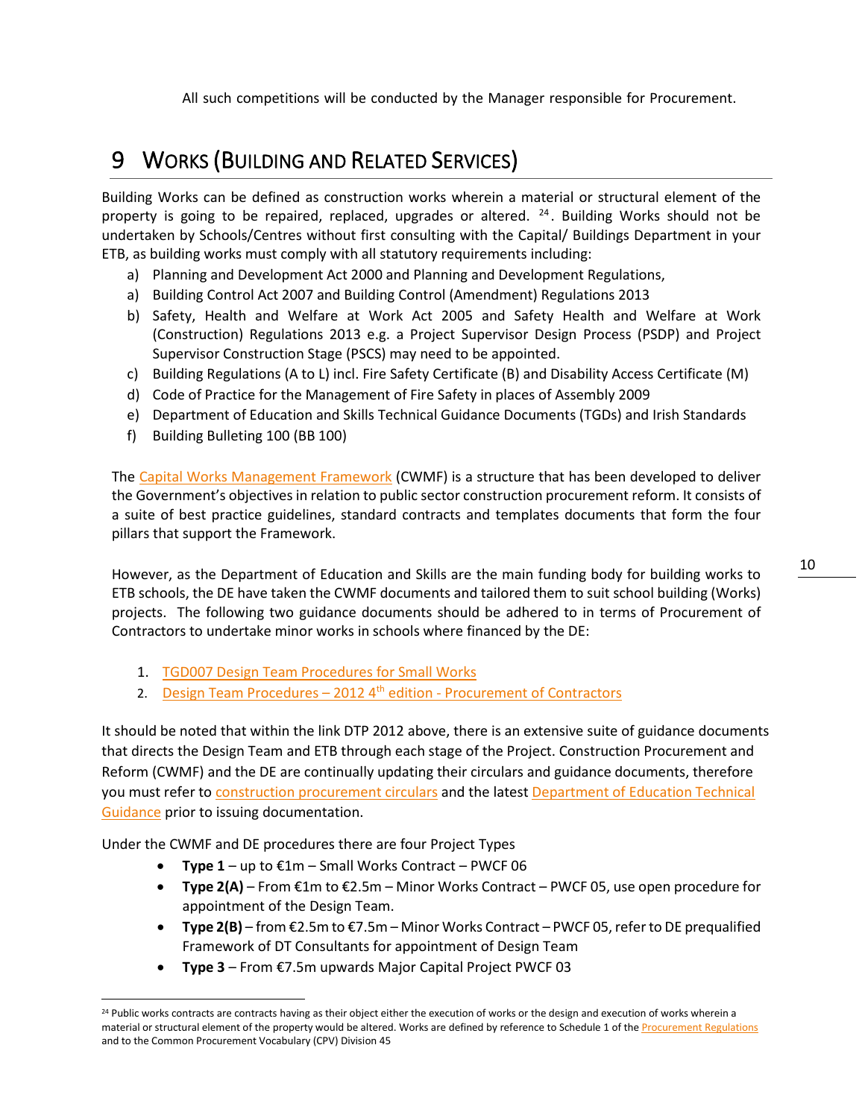All such competitions will be conducted by the Manager responsible for Procurement.

# <span id="page-10-0"></span>9 WORKS (BUILDING AND RELATED SERVICES)

<span id="page-10-1"></span>Building Works can be defined as construction works wherein a material or structural element of the property is going to be repaired, replaced, upgrades or altered.  $24$ . Building Works should not be undertaken by Schools/Centres without first consulting with the Capital/ Buildings Department in your ETB, as building works must comply with all statutory requirements including:

- a) Planning and Development Act 2000 and Planning and Development Regulations,
- a) Building Control Act 2007 and Building Control (Amendment) Regulations 2013
- b) Safety, Health and Welfare at Work Act 2005 and Safety Health and Welfare at Work (Construction) Regulations 2013 e.g. a Project Supervisor Design Process (PSDP) and Project Supervisor Construction Stage (PSCS) may need to be appointed.
- c) Building Regulations (A to L) incl. Fire Safety Certificate (B) and Disability Access Certificate (M)
- d) Code of Practice for the Management of Fire Safety in places of Assembly 2009
- e) Department of Education and Skills Technical Guidance Documents (TGDs) and Irish Standards
- f) Building Bulleting 100 (BB 100)

The [Capital Works Management Framework](https://constructionprocurement.gov.ie/capital-works-management-framework/) (CWMF) is a structure that has been developed to deliver the Government's objectives in relation to public sector construction procurement reform. It consists of a suite of best practice guidelines, standard contracts and templates documents that form the four pillars that support the Framework.

However, as the Department of Education and Skills are the main funding body for building works to ETB schools, the DE have taken the CWMF documents and tailored them to suit school building (Works) projects. The following two guidance documents should be adhered to in terms of Procurement of Contractors to undertake minor works in schools where financed by the DE:

- 1. TGD007 Design Team [Procedures for Small Works](https://www.education.ie/en/School-Design/Technical-Guidance-Documents/Current-Technical-Guidance/pbu_tgd_007_6th_edition_2018.pdf)
- 2. Design Team Procedures  $-20124$ <sup>th</sup> edition [Procurement of Contractors](https://www.education.ie/en/School-Design/Procedures-and-Cost-Plans/)

It should be noted that within the link DTP 2012 above, there is an extensive suite of guidance documents that directs the Design Team and ETB through each stage of the Project. Construction Procurement and Reform (CWMF) and the DE are continually updating their circulars and guidance documents, therefore you must refer t[o construction procurement circulars](https://constructionprocurement.gov.ie/circulars/) and the latest Department of Education Technical [Guidance](https://www.education.ie/en/School-Design/Technical-Guidance-Documents/) prior to issuing documentation.

Under the CWMF and DE procedures there are four Project Types

- **Type 1**  up to €1m Small Works Contract PWCF 06
- **Type 2(A)** From €1m to €2.5m Minor Works Contract PWCF 05, use open procedure for appointment of the Design Team.
- **Type 2(B)**  from €2.5m to €7.5m Minor Works Contract PWCF 05, refer to DE prequalified Framework of DT Consultants for appointment of Design Team
- **Type 3**  From €7.5m upwards Major Capital Project PWCF 03

<span id="page-10-2"></span><sup>&</sup>lt;sup>24</sup> Public works contracts are contracts having as their object either the execution of works or the design and execution of works wherein a material or structural element of the property would be altered. Works are defined by reference to Schedule 1 of th[e Procurement Regulations](http://etenders.gov.ie/Media/Default/SiteContent/LegislationGuides/european_union_award_of_public_authority_contracts_regulations_082016.pdf) and to the Common Procurement Vocabulary (CPV) Division 45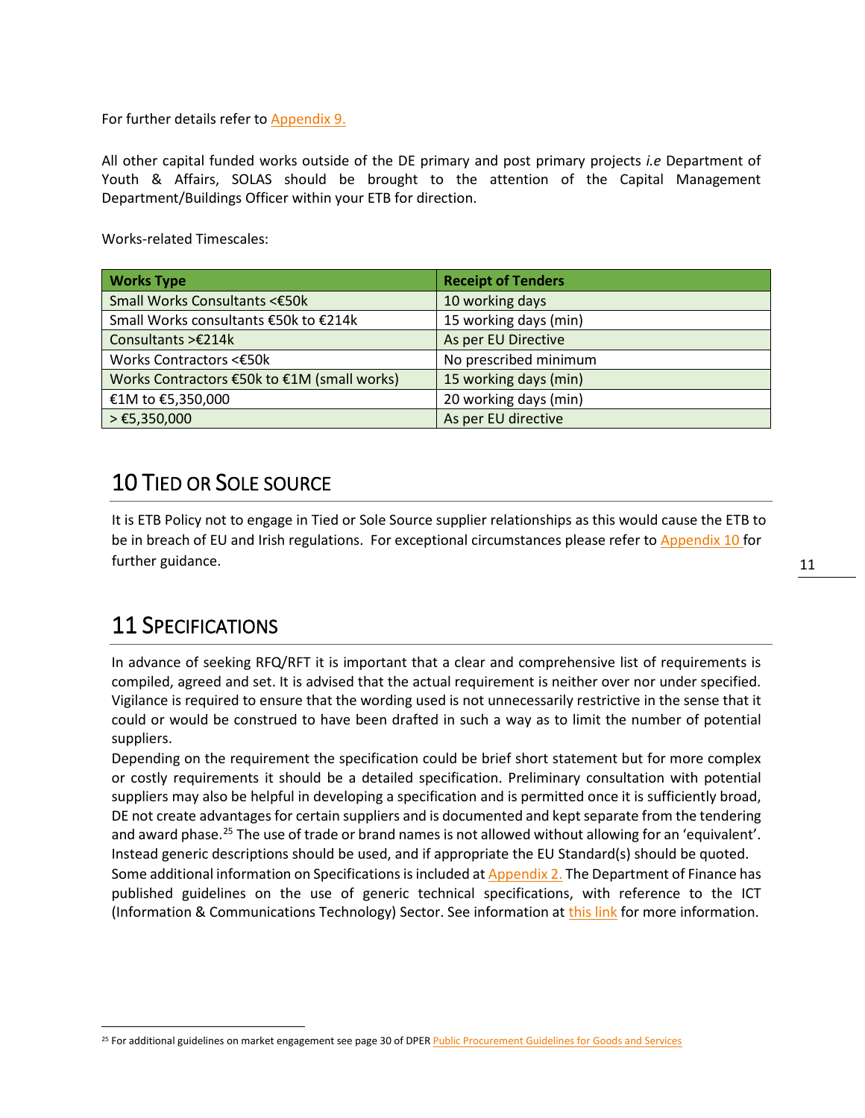For further details refer to [Appendix 9.](#page-25-0)

All other capital funded works outside of the DE primary and post primary projects *i.e* Department of Youth & Affairs, SOLAS should be brought to the attention of the Capital Management Department/Buildings Officer within your ETB for direction.

Works-related Timescales:

| <b>Works Type</b>                           | <b>Receipt of Tenders</b> |
|---------------------------------------------|---------------------------|
| Small Works Consultants <€50k               | 10 working days           |
| Small Works consultants €50k to €214k       | 15 working days (min)     |
| Consultants > €214k                         | As per EU Directive       |
| Works Contractors <€50k                     | No prescribed minimum     |
| Works Contractors €50k to €1M (small works) | 15 working days (min)     |
| €1M to €5,350,000                           | 20 working days (min)     |
| $> \text{\textsterling}5,350,000$           | As per EU directive       |

### 10 TIED OR SOLE SOURCE

It is ETB Policy not to engage in Tied or Sole Source supplier relationships as this would cause the ETB to be in breach of EU and Irish regulations. For exceptional circumstances please refer t[o Appendix 10](#page-29-1) for further guidance.

# <span id="page-11-0"></span>11 SPECIFICATIONS

In advance of seeking RFQ/RFT it is important that a clear and comprehensive list of requirements is compiled, agreed and set. It is advised that the actual requirement is neither over nor under specified. Vigilance is required to ensure that the wording used is not unnecessarily restrictive in the sense that it could or would be construed to have been drafted in such a way as to limit the number of potential suppliers.

Depending on the requirement the specification could be brief short statement but for more complex or costly requirements it should be a detailed specification. Preliminary consultation with potential suppliers may also be helpful in developing a specification and is permitted once it is sufficiently broad, DE not create advantages for certain suppliers and is documented and kept separate from the tendering and award phase.<sup>[25](#page-11-1)</sup> The use of trade or brand names is not allowed without allowing for an 'equivalent'. Instead generic descriptions should be used, and if appropriate the EU Standard(s) should be quoted.

Some additional information on Specifications is included a[t Appendix 2.](#page-18-0) The Department of Finance has published guidelines on the use of generic technical specifications, with reference to the ICT (Information & Communications Technology) Sector. See information a[t this link](http://www.etenders.gov.ie/general-procurement-guidance-2) for more information.

<span id="page-11-1"></span><sup>&</sup>lt;sup>25</sup> For additional guidelines on market engagement see page 30 of DPE[R Public Procurement Guidelines for Goods and Services](http://ogp.gov.ie/public-procurement-guidelines-for-goods-and-services/)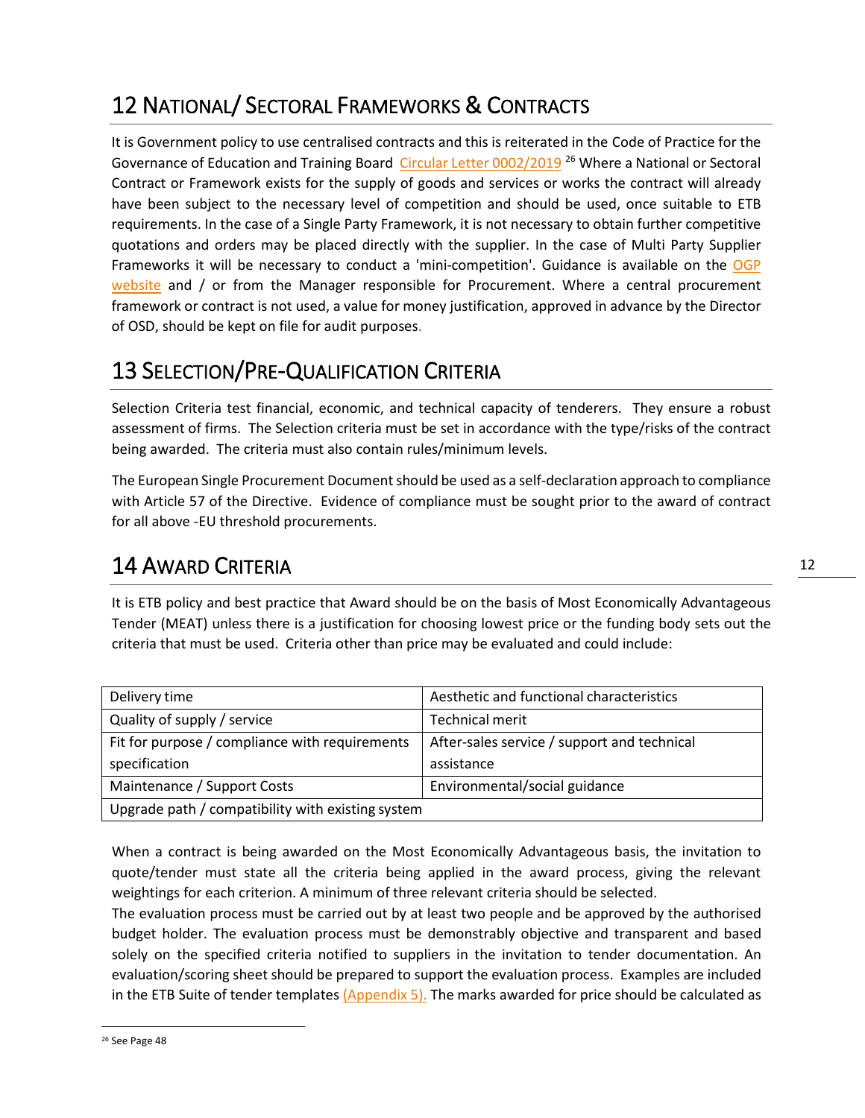# <span id="page-12-0"></span>12 NATIONAL/ SECTORAL FRAMEWORKS & CONTRACTS

It is Government policy to use centralised contracts and this is reiterated in the Code of Practice for the Governance of Education and Training Board [Circular Letter 0002/2019](https://www.education.ie/en/Circulars-and-Forms/Active-Circulars/cl0002_2019.pdf) [26](#page-12-3) Where a National or Sectoral Contract or Framework exists for the supply of goods and services or works the contract will already have been subject to the necessary level of competition and should be used, once suitable to ETB requirements. In the case of a Single Party Framework, it is not necessary to obtain further competitive quotations and orders may be placed directly with the supplier. In the case of Multi Party Supplier Frameworks it will be necessary to conduct a 'mini-competition'. Guidance is available on the [OGP](http://ogp.gov.ie/)  [website](http://ogp.gov.ie/) and / or from the Manager responsible for Procurement. Where a central procurement framework or contract is not used, a value for money justification, approved in advance by the Director of OSD, should be kept on file for audit purposes.

# <span id="page-12-1"></span>13 SELECTION/PRE-QUALIFICATION CRITERIA

Selection Criteria test financial, economic, and technical capacity of tenderers. They ensure a robust assessment of firms. The Selection criteria must be set in accordance with the type/risks of the contract being awarded. The criteria must also contain rules/minimum levels.

The European Single Procurement Document should be used as a self-declaration approach to compliance with Article 57 of the Directive. Evidence of compliance must be sought prior to the award of contract for all above -EU threshold procurements.

# <span id="page-12-2"></span>14 AWARD CRITERIA

It is ETB policy and best practice that Award should be on the basis of Most Economically Advantageous Tender (MEAT) unless there is a justification for choosing lowest price or the funding body sets out the criteria that must be used. Criteria other than price may be evaluated and could include:

| Delivery time                                     | Aesthetic and functional characteristics    |  |  |
|---------------------------------------------------|---------------------------------------------|--|--|
| Quality of supply / service                       | Technical merit                             |  |  |
| Fit for purpose / compliance with requirements    | After-sales service / support and technical |  |  |
| specification                                     | assistance                                  |  |  |
| Maintenance / Support Costs                       | Environmental/social guidance               |  |  |
| Upgrade path / compatibility with existing system |                                             |  |  |

When a contract is being awarded on the Most Economically Advantageous basis, the invitation to quote/tender must state all the criteria being applied in the award process, giving the relevant weightings for each criterion. A minimum of three relevant criteria should be selected.

<span id="page-12-3"></span>The evaluation process must be carried out by at least two people and be approved by the authorised budget holder. The evaluation process must be demonstrably objective and transparent and based solely on the specified criteria notified to suppliers in the invitation to tender documentation. An evaluation/scoring sheet should be prepared to support the evaluation process. Examples are included in the ETB Suite of tender templates  $(Appendix 5)$ . The marks awarded for price should be calculated as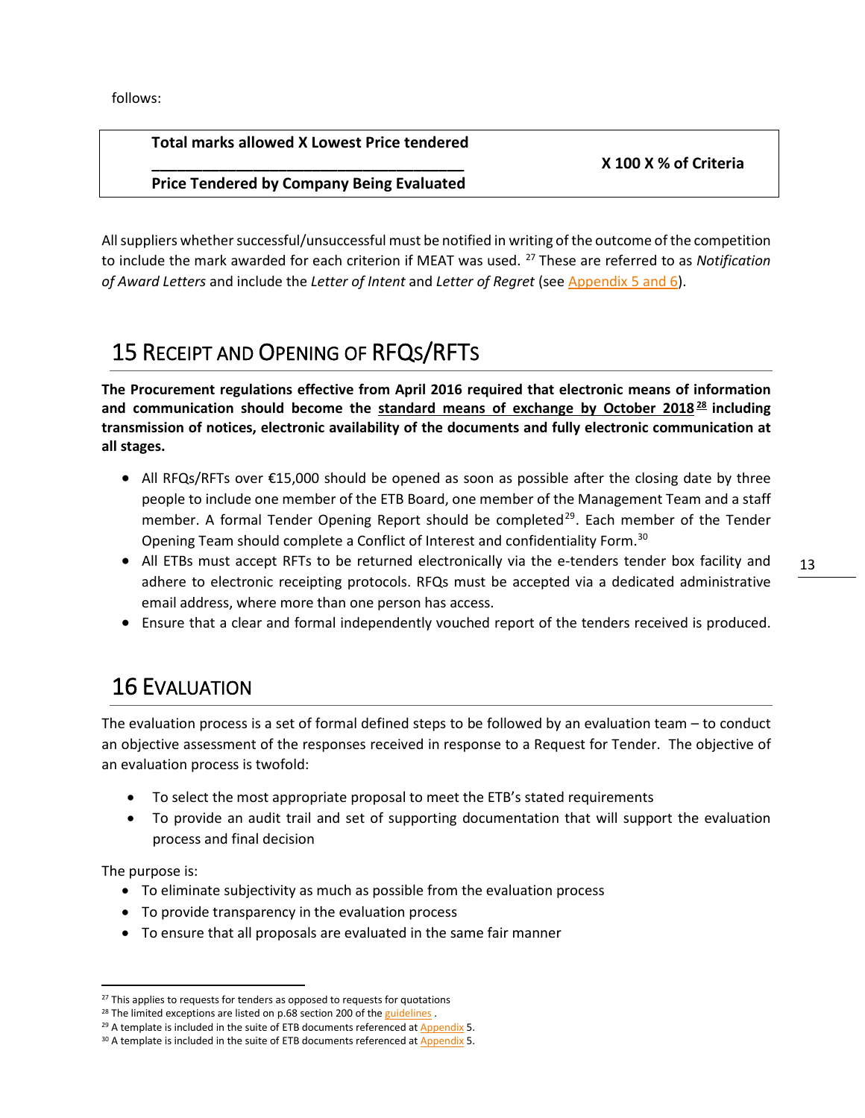follows:

#### **Total marks allowed X Lowest Price tendered**

#### **\_\_\_\_\_\_\_\_\_\_\_\_\_\_\_\_\_\_\_\_\_\_\_\_\_\_\_\_\_\_\_\_\_\_\_\_\_ X 100 X % of Criteria**

**Price Tendered by Company Being Evaluated**

All suppliers whether successful/unsuccessful must be notified in writing of the outcome of the competition to include the mark awarded for each criterion if MEAT was used. [27](#page-13-2) These are referred to as *Notification of Award Letters* and include the *Letter of Intent* and *Letter of Regret* (see [Appendix 5 and 6\)](#page-21-0).

# <span id="page-13-0"></span>15 RECEIPT AND OPENING OF RFQS/RFTS

**The Procurement regulations effective from April 2016 required that electronic means of information and communication should become the standard means of exchange by October 2018 [28](#page-13-3) including transmission of notices, electronic availability of the documents and fully electronic communication at all stages.**

- All RFQs/RFTs over €15,000 should be opened as soon as possible after the closing date by three people to include one member of the ETB Board, one member of the Management Team and a staff member. A formal Tender Opening Report should be completed<sup>[29](#page-13-4)</sup>. Each member of the Tender Opening Team should complete a Conflict of Interest and confidentiality Form.<sup>[30](#page-13-5)</sup>
- All ETBs must accept RFTs to be returned electronically via the e-tenders tender box facility and adhere to electronic receipting protocols. RFQs must be accepted via a dedicated administrative email address, where more than one person has access.
- Ensure that a clear and formal independently vouched report of the tenders received is produced.

# <span id="page-13-1"></span>16 EVALUATION

The evaluation process is a set of formal defined steps to be followed by an evaluation team – to conduct an objective assessment of the responses received in response to a Request for Tender. The objective of an evaluation process is twofold:

- To select the most appropriate proposal to meet the ETB's stated requirements
- To provide an audit trail and set of supporting documentation that will support the evaluation process and final decision

The purpose is:

- To eliminate subjectivity as much as possible from the evaluation process
- To provide transparency in the evaluation process
- To ensure that all proposals are evaluated in the same fair manner

<span id="page-13-2"></span><sup>&</sup>lt;sup>27</sup> This applies to requests for tenders as opposed to requests for quotations

<span id="page-13-3"></span><sup>&</sup>lt;sup>28</sup> The limited exceptions are listed on p.68 section 200 of the [guidelines](https://ogp.gov.ie/public-procurement-guidelines-for-goods-and-services/).

<span id="page-13-4"></span><sup>&</sup>lt;sup>29</sup> A template is included in the suite of ETB documents referenced at [Appendix](#page-21-0) 5.

<span id="page-13-5"></span><sup>30</sup> A template is included in the suite of ETB documents referenced at [Appendix](#page-21-0) 5.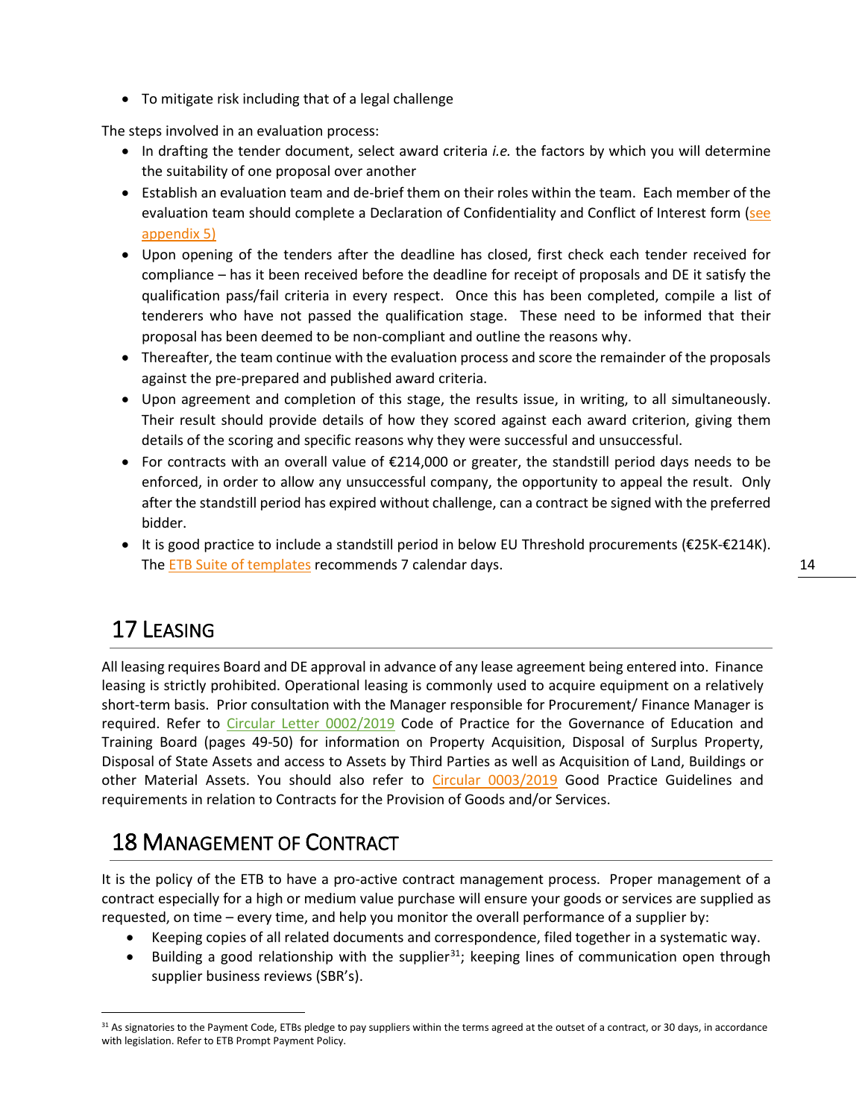• To mitigate risk including that of a legal challenge

The steps involved in an evaluation process:

- In drafting the tender document, select award criteria *i.e.* the factors by which you will determine the suitability of one proposal over another
- Establish an evaluation team and de-brief them on their roles within the team. Each member of the evaluation team should complete a Declaration of Confidentiality and Conflict of Interest form (see [appendix 5\)](#page-21-0)
- Upon opening of the tenders after the deadline has closed, first check each tender received for compliance – has it been received before the deadline for receipt of proposals and DE it satisfy the qualification pass/fail criteria in every respect. Once this has been completed, compile a list of tenderers who have not passed the qualification stage. These need to be informed that their proposal has been deemed to be non-compliant and outline the reasons why.
- Thereafter, the team continue with the evaluation process and score the remainder of the proposals against the pre-prepared and published award criteria.
- Upon agreement and completion of this stage, the results issue, in writing, to all simultaneously. Their result should provide details of how they scored against each award criterion, giving them details of the scoring and specific reasons why they were successful and unsuccessful.
- For contracts with an overall value of €214,000 or greater, the standstill period days needs to be enforced, in order to allow any unsuccessful company, the opportunity to appeal the result. Only after the standstill period has expired without challenge, can a contract be signed with the preferred bidder.
- It is good practice to include a standstill period in below EU Threshold procurements (€25K-€214K). The [ETB Suite of templates](#page-21-0) recommends 7 calendar days.

# <span id="page-14-0"></span>17 LEASING

All leasing requires Board and DE approval in advance of any lease agreement being entered into. Finance leasing is strictly prohibited. Operational leasing is commonly used to acquire equipment on a relatively short-term basis. Prior consultation with the Manager responsible for Procurement/ Finance Manager is required. Refer to [Circular Letter 0002/2019](https://www.education.ie/en/Circulars-and-Forms/Active-Circulars/cl0002_2019.pdf) Code of Practice for the Governance of Education and Training Board (pages 49-50) for information on Property Acquisition, Disposal of Surplus Property, Disposal of State Assets and access to Assets by Third Parties as well as Acquisition of Land, Buildings or other Material Assets. You should also refer to [Circular 0003/2019](https://www.education.ie/en/Circulars-and-Forms/Active-Circulars/cl0003_2019.pdf) Good Practice Guidelines and requirements in relation to Contracts for the Provision of Goods and/or Services.

### <span id="page-14-1"></span>18 MANAGEMENT OF CONTRACT

It is the policy of the ETB to have a pro-active contract management process. Proper management of a contract especially for a high or medium value purchase will ensure your goods or services are supplied as requested, on time – every time, and help you monitor the overall performance of a supplier by:

- Keeping copies of all related documents and correspondence, filed together in a systematic way.
- Building a good relationship with the supplier<sup>[31](#page-14-2)</sup>; keeping lines of communication open through supplier business reviews (SBR's).

<span id="page-14-2"></span><sup>31</sup> As signatories to the Payment Code, ETBs pledge to pay suppliers within the terms agreed at the outset of a contract, or 30 days, in accordance with legislation. Refer to ETB Prompt Payment Policy.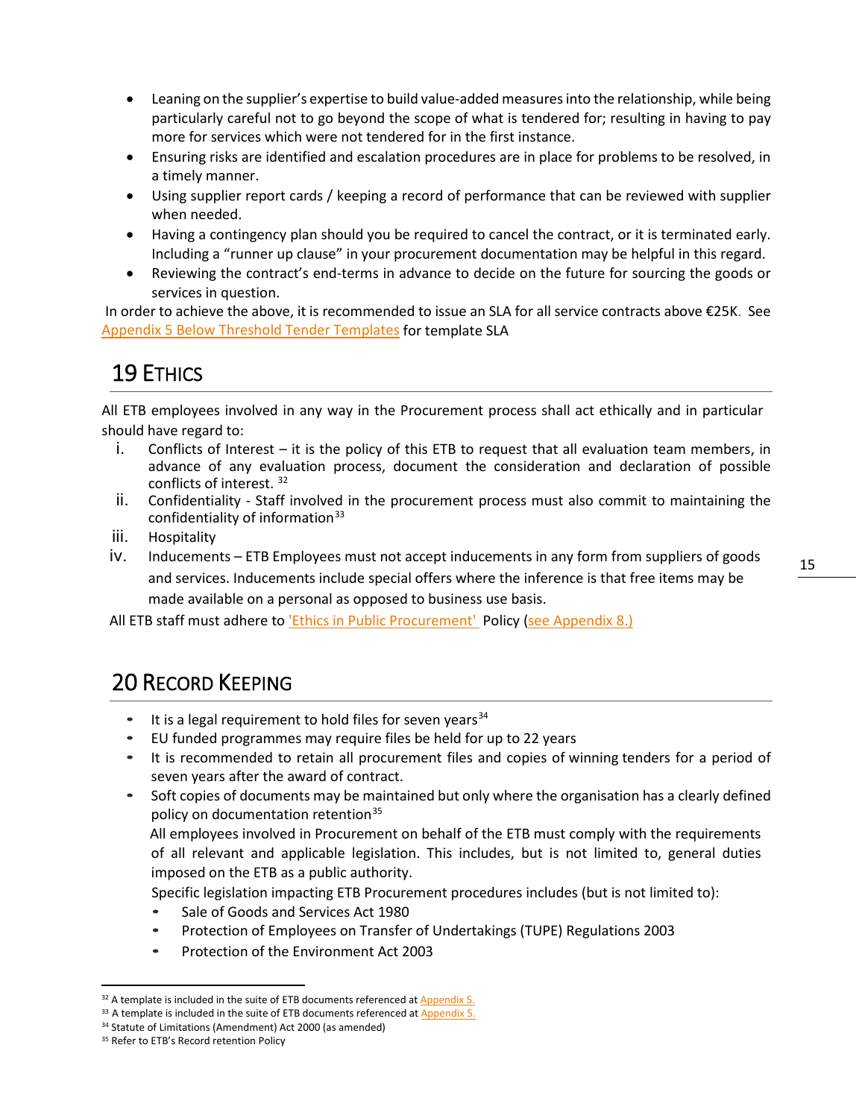- Leaning on the supplier's expertise to build value-added measures into the relationship, while being particularly careful not to go beyond the scope of what is tendered for; resulting in having to pay more for services which were not tendered for in the first instance.
- Ensuring risks are identified and escalation procedures are in place for problems to be resolved, in a timely manner.
- Using supplier report cards / keeping a record of performance that can be reviewed with supplier when needed.
- Having a contingency plan should you be required to cancel the contract, or it is terminated early. Including a "runner up clause" in your procurement documentation may be helpful in this regard.
- Reviewing the contract's end-terms in advance to decide on the future for sourcing the goods or services in question.

In order to achieve the above, it is recommended to issue an SLA for all service contracts above €25K. See Appendix 5 [Below Threshold Tender Templates](#page-21-0) for template SLA

# <span id="page-15-0"></span>19 ETHICS

All ETB employees involved in any way in the Procurement process shall act ethically and in particular should have regard to:

- i. Conflicts of Interest it is the policy of this ETB to request that all evaluation team members, in advance of any evaluation process, document the consideration and declaration of possible conflicts of interest. [32](#page-15-2)
- ii. Confidentiality Staff involved in the procurement process must also commit to maintaining the confidentiality of information<sup>[33](#page-15-3)</sup>
- iii. Hospitality
- iv. Inducements ETB Employees must not accept inducements in any form from suppliers of goods and services. Inducements include special offers where the inference is that free items may be made available on a personal as opposed to business use basis.

All ETB staff must adhere to *'Ethics in Public Procurement'* Policy [\(see Appendix 8.\)](#page-23-0)

# <span id="page-15-1"></span>20 RECORD KEEPING

- It is a legal requirement to hold files for seven years  $34$
- EU funded programmes may require files be held for up to 22 years
- It is recommended to retain all procurement files and copies of winning tenders for a period of seven years after the award of contract.
- Soft copies of documents may be maintained but only where the organisation has a clearly defined policy on documentation retention<sup>[35](#page-15-5)</sup>

All employees involved in Procurement on behalf of the ETB must comply with the requirements of all relevant and applicable legislation. This includes, but is not limited to, general duties imposed on the ETB as a public authority.

Specific legislation impacting ETB Procurement procedures includes (but is not limited to):

- Sale of Goods and Services Act 1980
- Protection of Employees on Transfer of Undertakings (TUPE) Regulations 2003
- Protection of the Environment Act 2003

<span id="page-15-2"></span> $32$  A template is included in the suite of ETB documents referenced at [Appendix 5.](#page-21-0)

<span id="page-15-3"></span><sup>&</sup>lt;sup>33</sup> A template is included in the suite of ETB documents referenced a[t Appendix 5.](#page-21-0)

<span id="page-15-4"></span><sup>&</sup>lt;sup>34</sup> Statute of Limitations (Amendment) Act 2000 (as amended)

<span id="page-15-5"></span><sup>&</sup>lt;sup>35</sup> Refer to ETB's Record retention Policy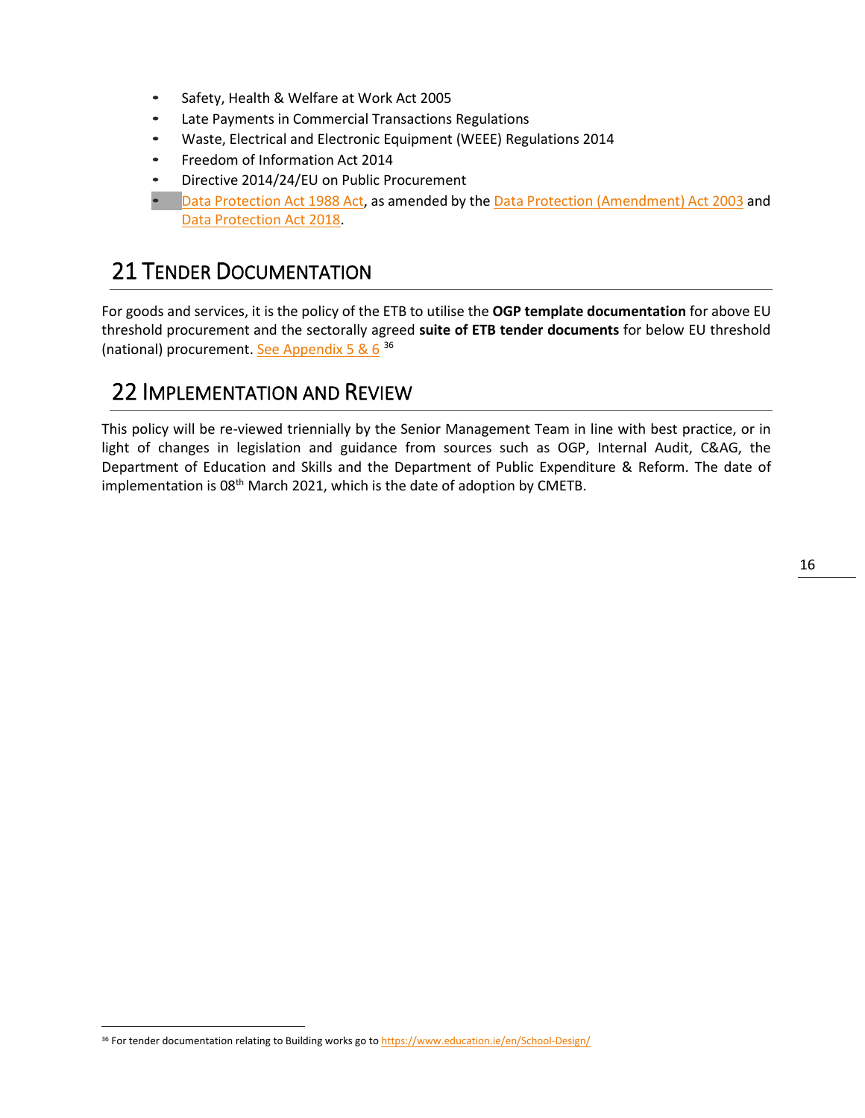- Safety, Health & Welfare at Work Act 2005
- Late Payments in Commercial Transactions Regulations
- Waste, Electrical and Electronic Equipment (WEEE) Regulations 2014
- Freedom of Information Act 2014
- Directive 2014/24/EU on Public Procurement
- [Data Protection Act 1988 Act,](http://www.irishstatutebook.ie/eli/1988/act/25/enacted/en/html) as amended by th[e Data Protection \(Amendment\) Act 2003](http://www.irishstatutebook.ie/eli/2003/act/6/enacted/en/html) and [Data Protection Act 2018.](http://www.irishstatutebook.ie/eli/2018/act/7/enacted/en/html)

### <span id="page-16-0"></span>21 TENDER DOCUMENTATION

For goods and services, it is the policy of the ETB to utilise the **OGP template documentation** for above EU threshold procurement and the sectorally agreed **suite of ETB tender documents** for below EU threshold (national) procurement. [See Appendix 5](#page-21-0) & 6 [36](#page-16-2)

### <span id="page-16-1"></span>22 IMPLEMENTATION AND REVIEW

This policy will be re-viewed triennially by the Senior Management Team in line with best practice, or in light of changes in legislation and guidance from sources such as OGP, Internal Audit, C&AG, the Department of Education and Skills and the Department of Public Expenditure & Reform. The date of implementation is 08<sup>th</sup> March 2021, which is the date of adoption by CMETB.

<span id="page-16-2"></span><sup>36</sup> For tender documentation relating to Building works go t[o https://www.education.ie/en/School-Design/](https://www.education.ie/en/School-Design/)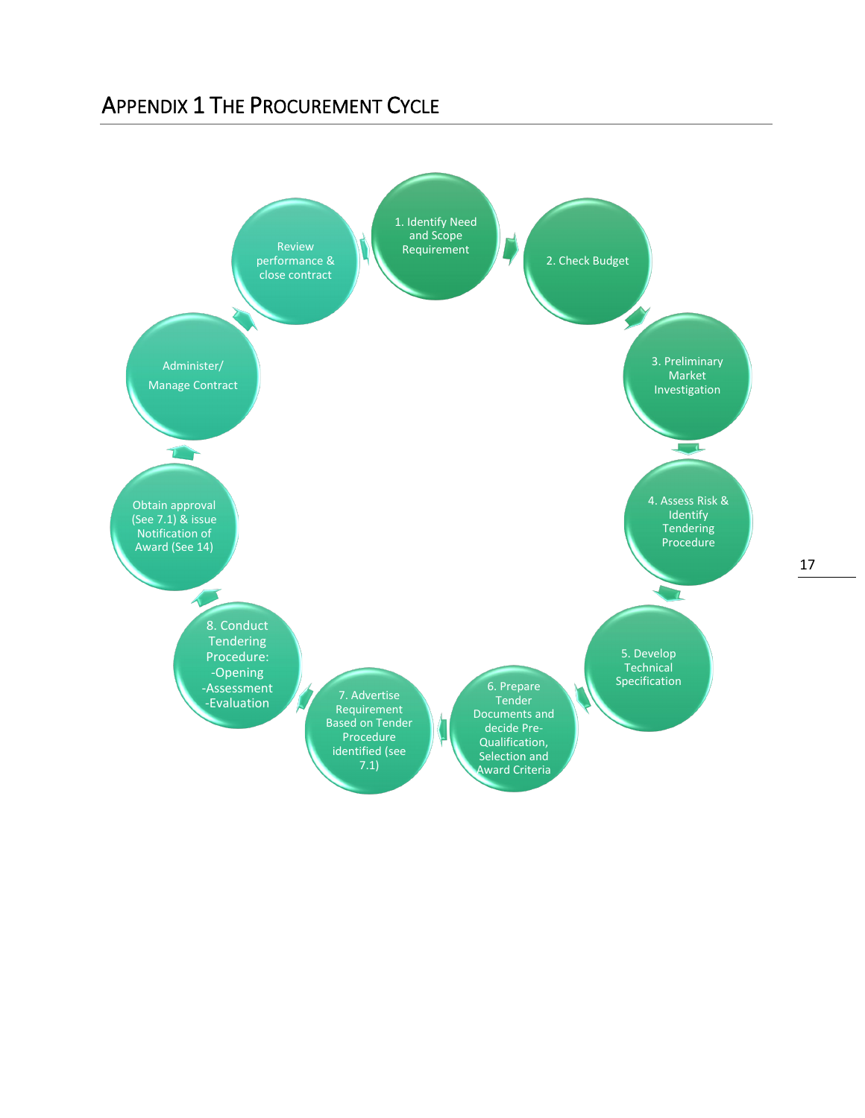### <span id="page-17-0"></span>APPENDIX 1 THE PROCUREMENT CYCLE

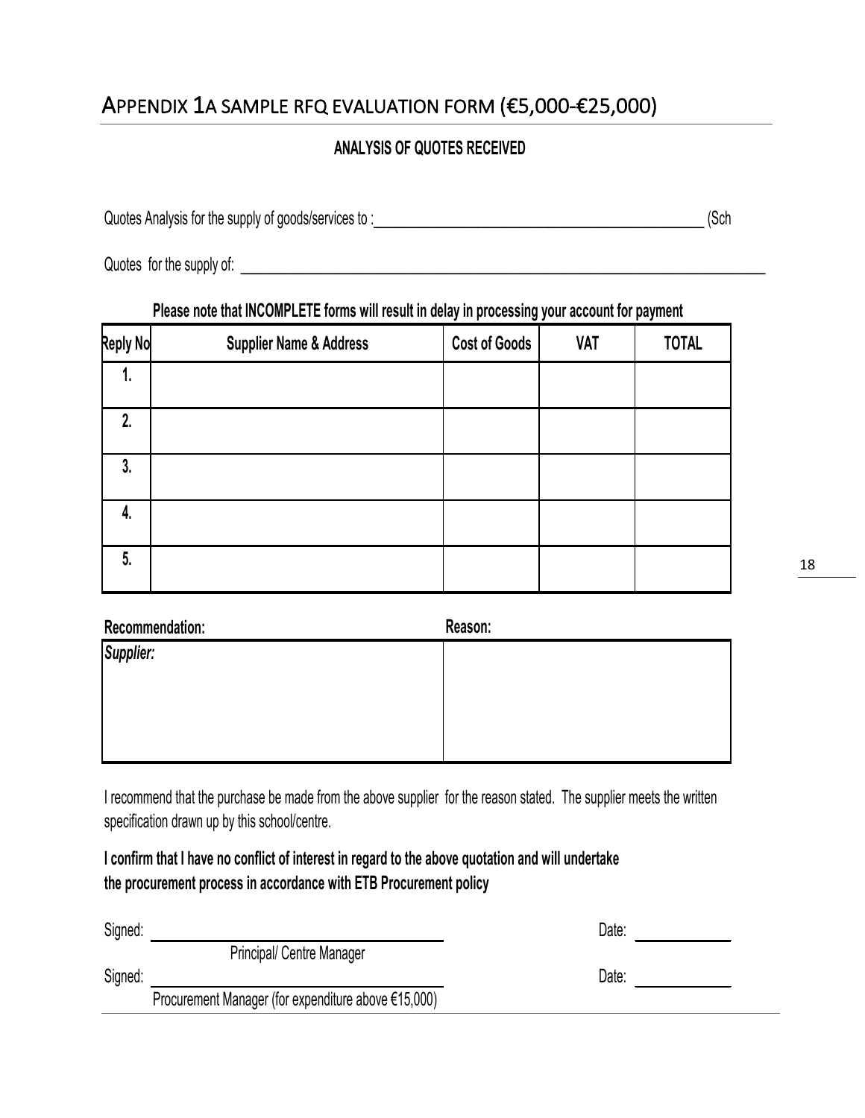# <span id="page-18-0"></span>APPENDIX 1A SAMPLE RFQ EVALUATION FORM (€5,000-€25,000)

### **ANALYSIS OF QUOTES RECEIVED**

Quotes Analysis for the supply of goods/services to :\_\_\_\_\_\_\_\_\_\_\_\_\_\_\_\_\_\_\_\_\_\_\_\_\_\_\_\_\_\_\_\_\_\_\_\_\_\_\_\_\_\_\_\_\_\_\_\_\_\_\_ (Sch

Quotes for the supply of:  $\Box$ 

#### **Please note that INCOMPLETE forms will result in delay in processing your account for payment**

| <b>Reply No</b> | <b>Supplier Name &amp; Address</b> | <b>Cost of Goods</b> | <b>VAT</b> | <b>TOTAL</b> |
|-----------------|------------------------------------|----------------------|------------|--------------|
| 1.              |                                    |                      |            |              |
| 2.              |                                    |                      |            |              |
| 3.              |                                    |                      |            |              |
| 4.              |                                    |                      |            |              |
| 5.              |                                    |                      |            |              |

| Recommendation: | Reason: |
|-----------------|---------|
| Supplier:       |         |
|                 |         |
|                 |         |
|                 |         |
|                 |         |

I recommend that the purchase be made from the above supplier for the reason stated. The supplier meets the written specification drawn up by this school/centre.

**I confirm that I have no conflict of interest in regard to the above quotation and will undertake the procurement process in accordance with ETB Procurement policy**

| Signed: |                                                     | Date: |
|---------|-----------------------------------------------------|-------|
|         | <b>Principal/ Centre Manager</b>                    |       |
| Signed: |                                                     | Date: |
|         | Procurement Manager (for expenditure above €15,000) |       |
|         |                                                     |       |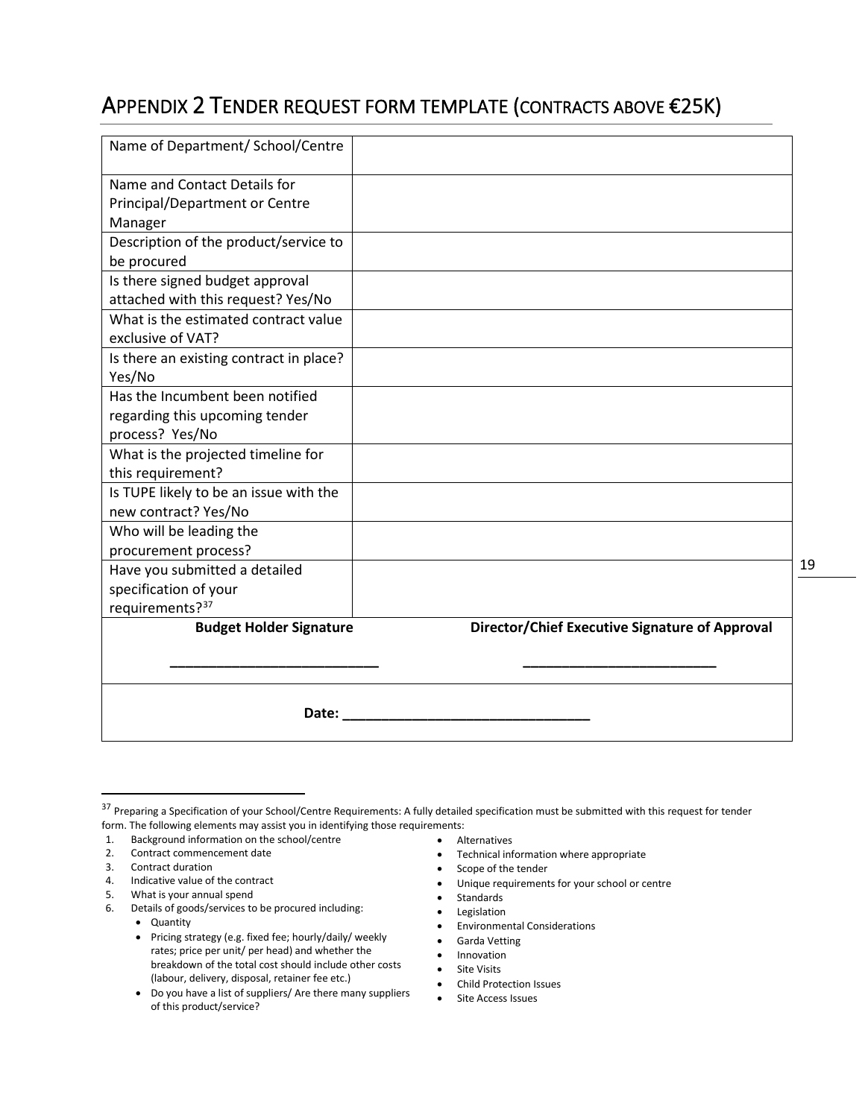### <span id="page-19-0"></span>APPENDIX 2 TENDER REQUEST FORM TEMPLATE (CONTRACTS ABOVE €25K)

| Name of Department/ School/Centre       |                                                |  |  |  |
|-----------------------------------------|------------------------------------------------|--|--|--|
| Name and Contact Details for            |                                                |  |  |  |
| <b>Principal/Department or Centre</b>   |                                                |  |  |  |
| Manager                                 |                                                |  |  |  |
| Description of the product/service to   |                                                |  |  |  |
| be procured                             |                                                |  |  |  |
| Is there signed budget approval         |                                                |  |  |  |
| attached with this request? Yes/No      |                                                |  |  |  |
| What is the estimated contract value    |                                                |  |  |  |
| exclusive of VAT?                       |                                                |  |  |  |
| Is there an existing contract in place? |                                                |  |  |  |
| Yes/No                                  |                                                |  |  |  |
| Has the Incumbent been notified         |                                                |  |  |  |
| regarding this upcoming tender          |                                                |  |  |  |
| process? Yes/No                         |                                                |  |  |  |
| What is the projected timeline for      |                                                |  |  |  |
| this requirement?                       |                                                |  |  |  |
| Is TUPE likely to be an issue with the  |                                                |  |  |  |
| new contract? Yes/No                    |                                                |  |  |  |
| Who will be leading the                 |                                                |  |  |  |
| procurement process?                    |                                                |  |  |  |
| Have you submitted a detailed           |                                                |  |  |  |
| specification of your                   |                                                |  |  |  |
| requirements? <sup>37</sup>             |                                                |  |  |  |
| <b>Budget Holder Signature</b>          | Director/Chief Executive Signature of Approval |  |  |  |
|                                         |                                                |  |  |  |
|                                         |                                                |  |  |  |
|                                         |                                                |  |  |  |
| Date:                                   |                                                |  |  |  |
|                                         |                                                |  |  |  |

- Alternatives
- Technical information where appropriate
- Scope of the tender
- Unique requirements for your school or centre
- Standards
- Legislation
- Environmental Considerations
- Garda Vetting
- Innovation
- Site Visits
- Child Protection Issues
- Site Access Issues

<span id="page-19-1"></span><sup>&</sup>lt;sup>37</sup> Preparing a Specification of your School/Centre Requirements: A fully detailed specification must be submitted with this request for tender form. The following elements may assist you in identifying those requirements:

<sup>1.</sup> Background information on the school/centre

<sup>2.</sup> Contract commencement date

<sup>3.</sup> Contract duration

<sup>4.</sup> Indicative value of the contract

<sup>5.</sup> What is your annual spend

<sup>6.</sup> Details of goods/services to be procured including:

<sup>•</sup> Quantity

<sup>•</sup> Pricing strategy (e.g. fixed fee; hourly/daily/ weekly rates; price per unit/ per head) and whether the breakdown of the total cost should include other costs (labour, delivery, disposal, retainer fee etc.)

<sup>•</sup> Do you have a list of suppliers/ Are there many suppliers of this product/service?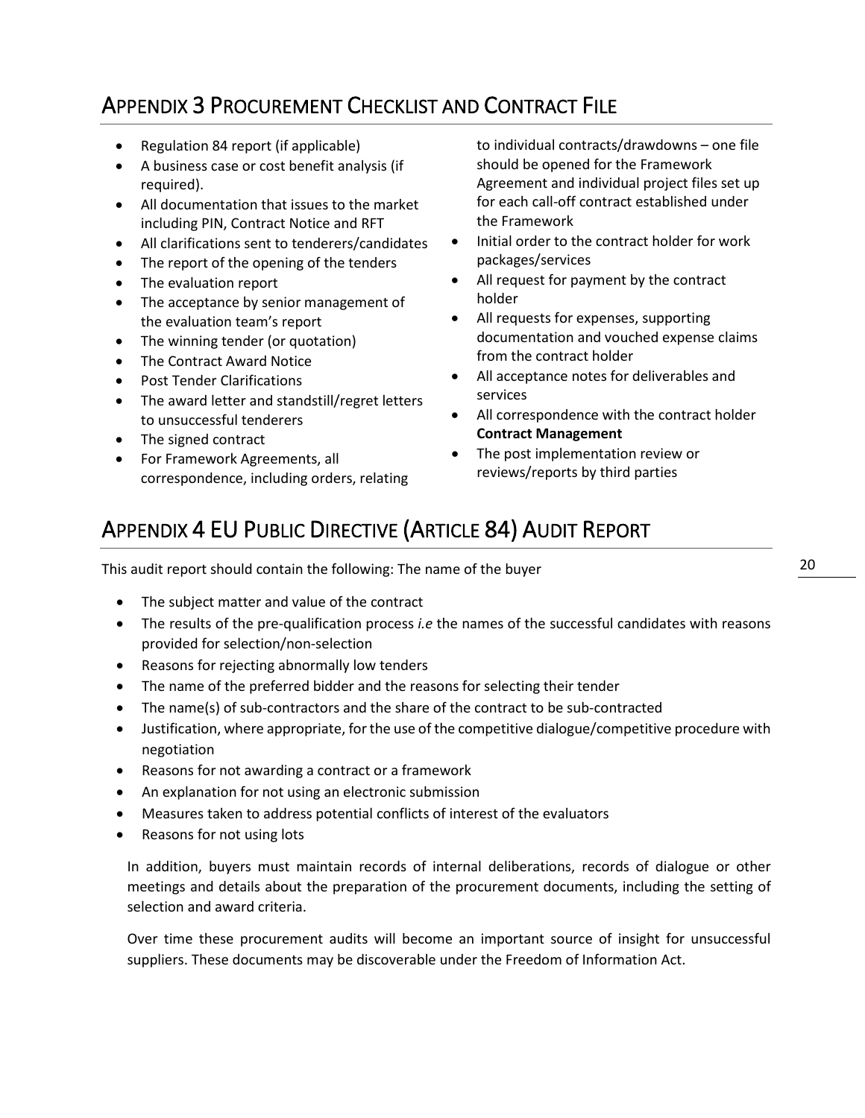# <span id="page-20-0"></span>APPENDIX 3 PROCUREMENT CHECKLIST AND CONTRACT FILE

- Regulation 84 report (if applicable)
- A business case or cost benefit analysis (if required).
- All documentation that issues to the market including PIN, Contract Notice and RFT
- All clarifications sent to tenderers/candidates
- The report of the opening of the tenders
- The evaluation report
- The acceptance by senior management of the evaluation team's report
- The winning tender (or quotation)
- The Contract Award Notice
- Post Tender Clarifications
- The award letter and standstill/regret letters to unsuccessful tenderers
- The signed contract
- For Framework Agreements, all correspondence, including orders, relating

to individual contracts/drawdowns – one file should be opened for the Framework Agreement and individual project files set up for each call-off contract established under the Framework

- Initial order to the contract holder for work packages/services
- All request for payment by the contract holder
- All requests for expenses, supporting documentation and vouched expense claims from the contract holder
- All acceptance notes for deliverables and services
- All correspondence with the contract holder **Contract Management**
- The post implementation review or reviews/reports by third parties

# <span id="page-20-1"></span>APPENDIX 4 EU PUBLIC DIRECTIVE (ARTICLE 84) AUDIT REPORT

This audit report should contain the following: The name of the buyer

- The subject matter and value of the contract
- The results of the pre-qualification process *i.e* the names of the successful candidates with reasons provided for selection/non-selection
- Reasons for rejecting abnormally low tenders
- The name of the preferred bidder and the reasons for selecting their tender
- The name(s) of sub-contractors and the share of the contract to be sub-contracted
- Justification, where appropriate, for the use of the competitive dialogue/competitive procedure with negotiation
- Reasons for not awarding a contract or a framework
- An explanation for not using an electronic submission
- Measures taken to address potential conflicts of interest of the evaluators
- Reasons for not using lots

In addition, buyers must maintain records of internal deliberations, records of dialogue or other meetings and details about the preparation of the procurement documents, including the setting of selection and award criteria.

Over time these procurement audits will become an important source of insight for unsuccessful suppliers. These documents may be discoverable under the Freedom of Information Act.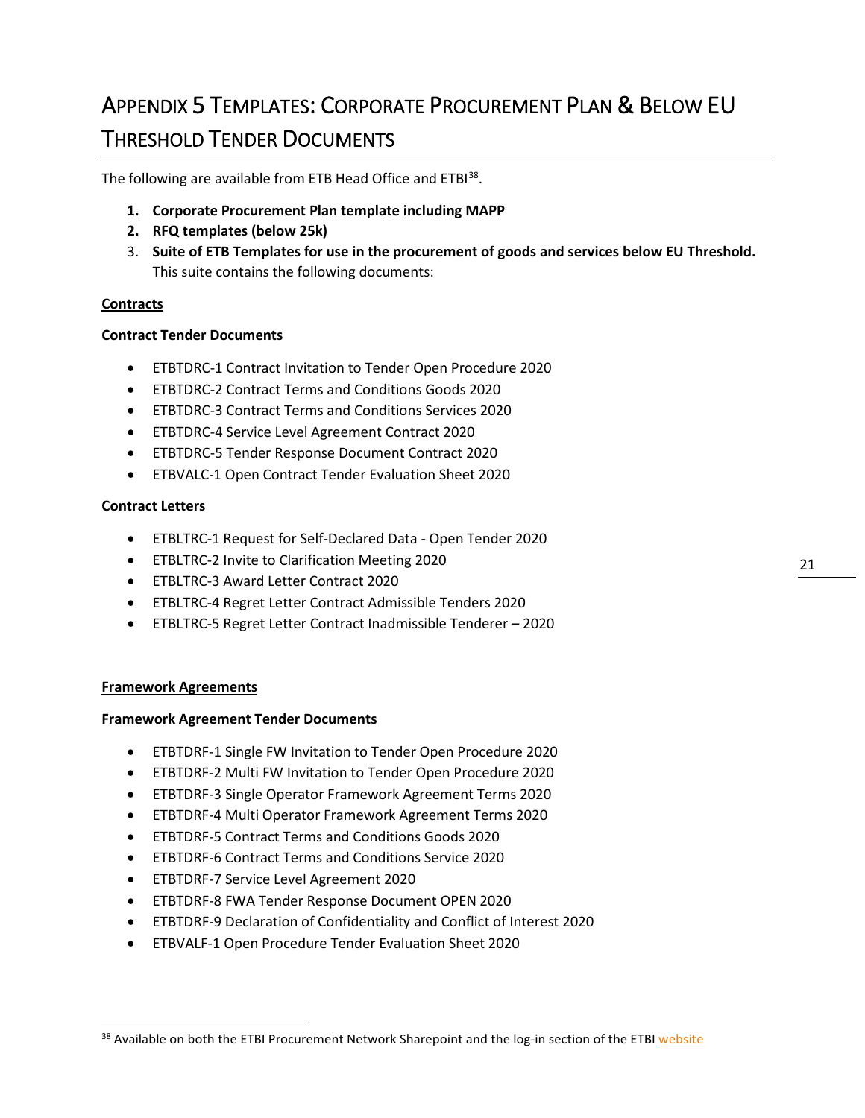# <span id="page-21-0"></span>APPENDIX 5 TEMPLATES: CORPORATE PROCUREMENT PLAN & BELOW EU THRESHOLD TENDER DOCUMENTS

The following are available from ETB Head Office and ETBI<sup>38</sup>.

- **1. Corporate Procurement Plan template including MAPP**
- **2. RFQ templates (below 25k)**
- 3. **Suite of ETB Templates for use in the procurement of goods and services below EU Threshold.** This suite contains the following documents:

#### **Contracts**

#### **Contract Tender Documents**

- ETBTDRC-1 Contract Invitation to Tender Open Procedure 2020
- ETBTDRC-2 Contract Terms and Conditions Goods 2020
- ETBTDRC-3 Contract Terms and Conditions Services 2020
- ETBTDRC-4 Service Level Agreement Contract 2020
- ETBTDRC-5 Tender Response Document Contract 2020
- ETBVALC-1 Open Contract Tender Evaluation Sheet 2020

#### **Contract Letters**

- ETBLTRC-1 Request for Self-Declared Data Open Tender 2020
- ETBLTRC-2 Invite to Clarification Meeting 2020
- ETBLTRC-3 Award Letter Contract 2020
- ETBLTRC-4 Regret Letter Contract Admissible Tenders 2020
- ETBLTRC-5 Regret Letter Contract Inadmissible Tenderer 2020

#### **Framework Agreements**

#### **Framework Agreement Tender Documents**

- ETBTDRF-1 Single FW Invitation to Tender Open Procedure 2020
- ETBTDRF-2 Multi FW Invitation to Tender Open Procedure 2020
- ETBTDRF-3 Single Operator Framework Agreement Terms 2020
- ETBTDRF-4 Multi Operator Framework Agreement Terms 2020
- ETBTDRF-5 Contract Terms and Conditions Goods 2020
- ETBTDRF-6 Contract Terms and Conditions Service 2020
- ETBTDRF-7 Service Level Agreement 2020
- ETBTDRF-8 FWA Tender Response Document OPEN 2020
- ETBTDRF-9 Declaration of Confidentiality and Conflict of Interest 2020
- ETBVALF-1 Open Procedure Tender Evaluation Sheet 2020

<span id="page-21-1"></span><sup>&</sup>lt;sup>38</sup> Available on both the ETBI Procurement Network Sharepoint and the log-in section of the ETB[I website](http://www.etbi.ie/)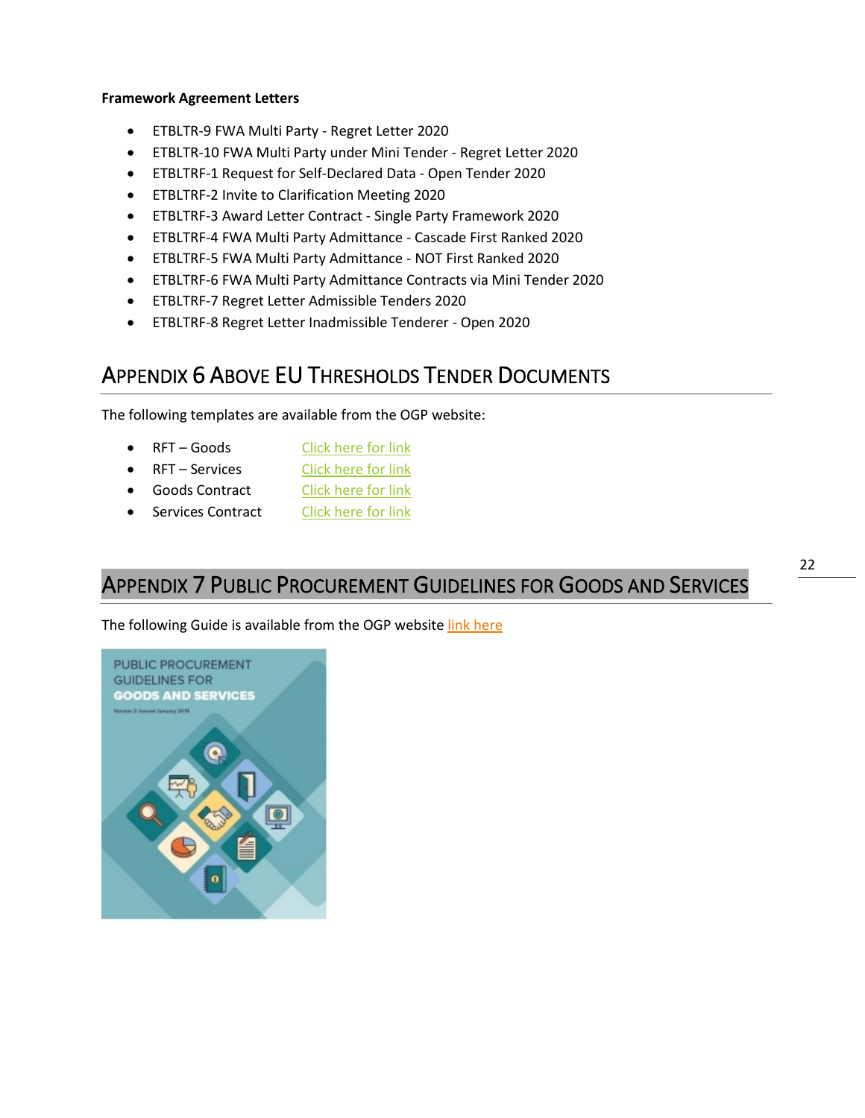#### **Framework Agreement Letters**

- ETBLTR-9 FWA Multi Party Regret Letter 2020
- ETBLTR-10 FWA Multi Party under Mini Tender Regret Letter 2020
- ETBLTRF-1 Request for Self-Declared Data Open Tender 2020
- ETBLTRF-2 Invite to Clarification Meeting 2020
- ETBLTRF-3 Award Letter Contract Single Party Framework 2020
- ETBLTRF-4 FWA Multi Party Admittance Cascade First Ranked 2020
- ETBLTRF-5 FWA Multi Party Admittance NOT First Ranked 2020
- ETBLTRF-6 FWA Multi Party Admittance Contracts via Mini Tender 2020
- ETBLTRF-7 Regret Letter Admissible Tenders 2020
- ETBLTRF-8 Regret Letter Inadmissible Tenderer Open 2020

### <span id="page-22-0"></span>APPENDIX 6 ABOVE EU THRESHOLDS TENDER DOCUMENTS

The following templates are available from the OGP website:

- RFT Goods [Click here for link](http://ogp.gov.ie/templates-2/)
- RFT Services [Click here for link](http://ogp.gov.ie/templates-2/)
- Goods Contract [Click here for link](http://ogp.gov.ie/templates-2/)
- Services Contract [Click here for link](http://ogp.gov.ie/templates-2/)

### <span id="page-22-1"></span>APPENDIX 7 PUBLIC PROCUREMENT GUIDELINES FOR GOODS AND SERVICES

The following Guide is available from the OGP website [link here](https://ogp.gov.ie/public-procurement-guidelines-for-goods-and-services/)

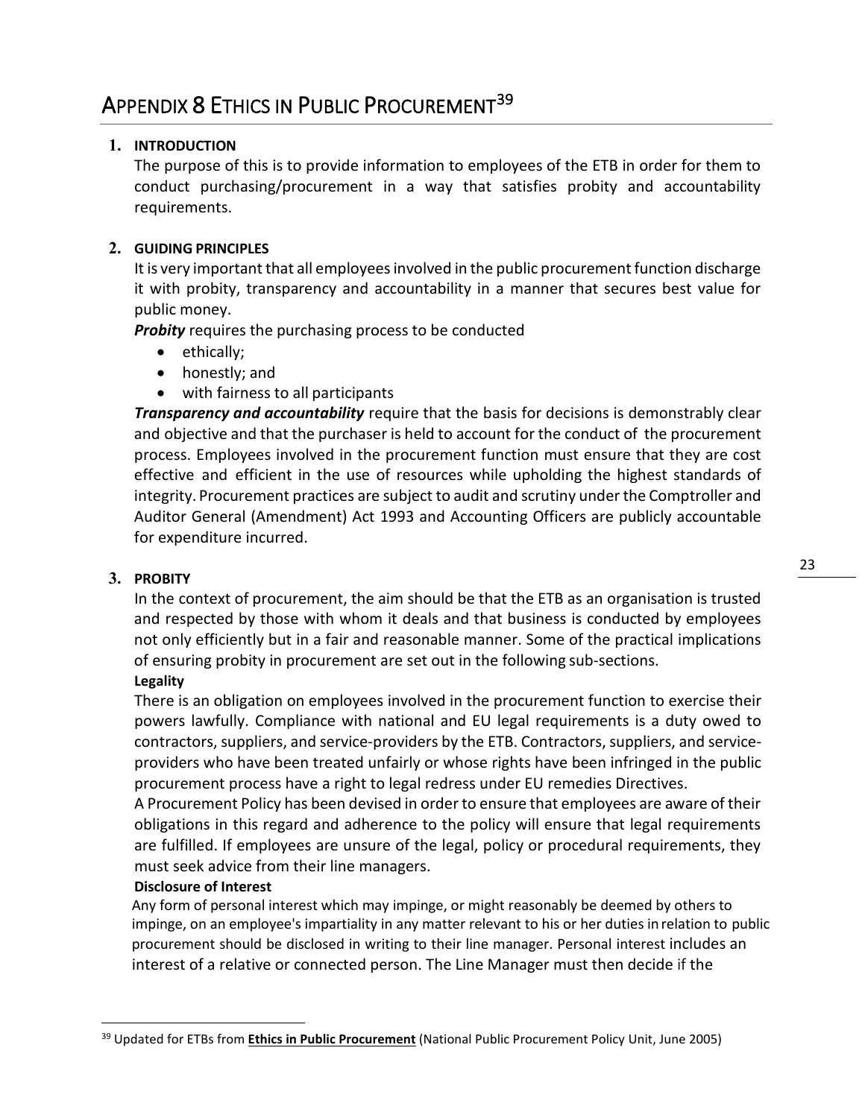#### <span id="page-23-0"></span>**1. INTRODUCTION**

The purpose of this is to provide information to employees of the ETB in order for them to conduct purchasing/procurement in a way that satisfies probity and accountability requirements.

#### **2. GUIDING PRINCIPLES**

It is very important that all employees involved in the public procurement function discharge it with probity, transparency and accountability in a manner that secures best value for public money.

*Probity* requires the purchasing process to be conducted

- ethically;
- honestly; and
- with fairness to all participants

*Transparency and accountability* require that the basis for decisions is demonstrably clear and objective and that the purchaser is held to account for the conduct of the procurement process. Employees involved in the procurement function must ensure that they are cost effective and efficient in the use of resources while upholding the highest standards of integrity. Procurement practices are subject to audit and scrutiny under the Comptroller and Auditor General (Amendment) Act 1993 and Accounting Officers are publicly accountable for expenditure incurred.

#### **3. PROBITY**

In the context of procurement, the aim should be that the ETB as an organisation is trusted and respected by those with whom it deals and that business is conducted by employees not only efficiently but in a fair and reasonable manner. Some of the practical implications of ensuring probity in procurement are set out in the following sub-sections.

#### **Legality**

There is an obligation on employees involved in the procurement function to exercise their powers lawfully. Compliance with national and EU legal requirements is a duty owed to contractors, suppliers, and service-providers by the ETB. Contractors, suppliers, and serviceproviders who have been treated unfairly or whose rights have been infringed in the public procurement process have a right to legal redress under EU remedies Directives.

A Procurement Policy has been devised in order to ensure that employees are aware of their obligations in this regard and adherence to the policy will ensure that legal requirements are fulfilled. If employees are unsure of the legal, policy or procedural requirements, they must seek advice from their line managers.

#### **Disclosure of Interest**

Any form of personal interest which may impinge, or might reasonably be deemed by others to impinge, on an employee's impartiality in any matter relevant to his or her duties in relation to public procurement should be disclosed in writing to their line manager. Personal interest includes an interest of a relative or connected person. The Line Manager must then decide if the

<span id="page-23-1"></span><sup>39</sup> Updated for ETBs from **Ethics in Public Procurement** (National Public Procurement Policy Unit, June 2005)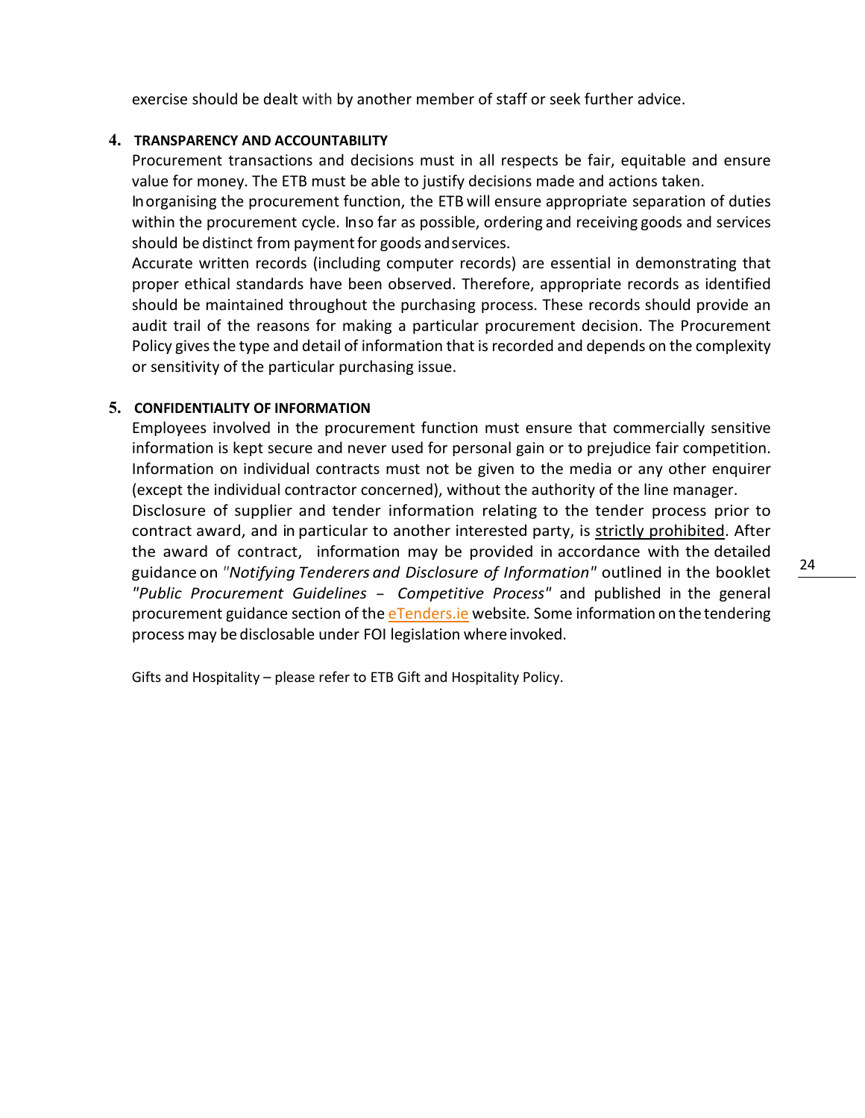exercise should be dealt with by another member of staff or seek further advice.

#### **4. TRANSPARENCY AND ACCOUNTABILITY**

Procurement transactions and decisions must in all respects be fair, equitable and ensure value for money. The ETB must be able to justify decisions made and actions taken.

Inorganising the procurement function, the ETB will ensure appropriate separation of duties within the procurement cycle. Inso far as possible, ordering and receiving goods and services should be distinct from payment for goods and services.

Accurate written records (including computer records) are essential in demonstrating that proper ethical standards have been observed. Therefore, appropriate records as identified should be maintained throughout the purchasing process. These records should provide an audit trail of the reasons for making a particular procurement decision. The Procurement Policy gives the type and detail of information that is recorded and depends on the complexity or sensitivity of the particular purchasing issue.

#### **5. CONFIDENTIALITY OF INFORMATION**

Employees involved in the procurement function must ensure that commercially sensitive information is kept secure and never used for personal gain or to prejudice fair competition. Information on individual contracts must not be given to the media or any other enquirer (except the individual contractor concerned), without the authority of the line manager.

Disclosure of supplier and tender information relating to the tender process prior to contract award, and in particular to another interested party, is strictly prohibited. After the award of contract, information may be provided in accordance with the detailed guidance on *"Notifying Tenderers and Disclosure of Information"* outlined in the booklet *"Public Procurement Guidelines* - *Competitive Process"* and published in the general procurement guidance section of the [eTenders.ie](http://www.etenders.gov.ie/general-procurement-guidance-2) website*.* Some information on the tendering process may be disclosable under FOI legislation where invoked.

Gifts and Hospitality – please refer to ETB Gift and Hospitality Policy.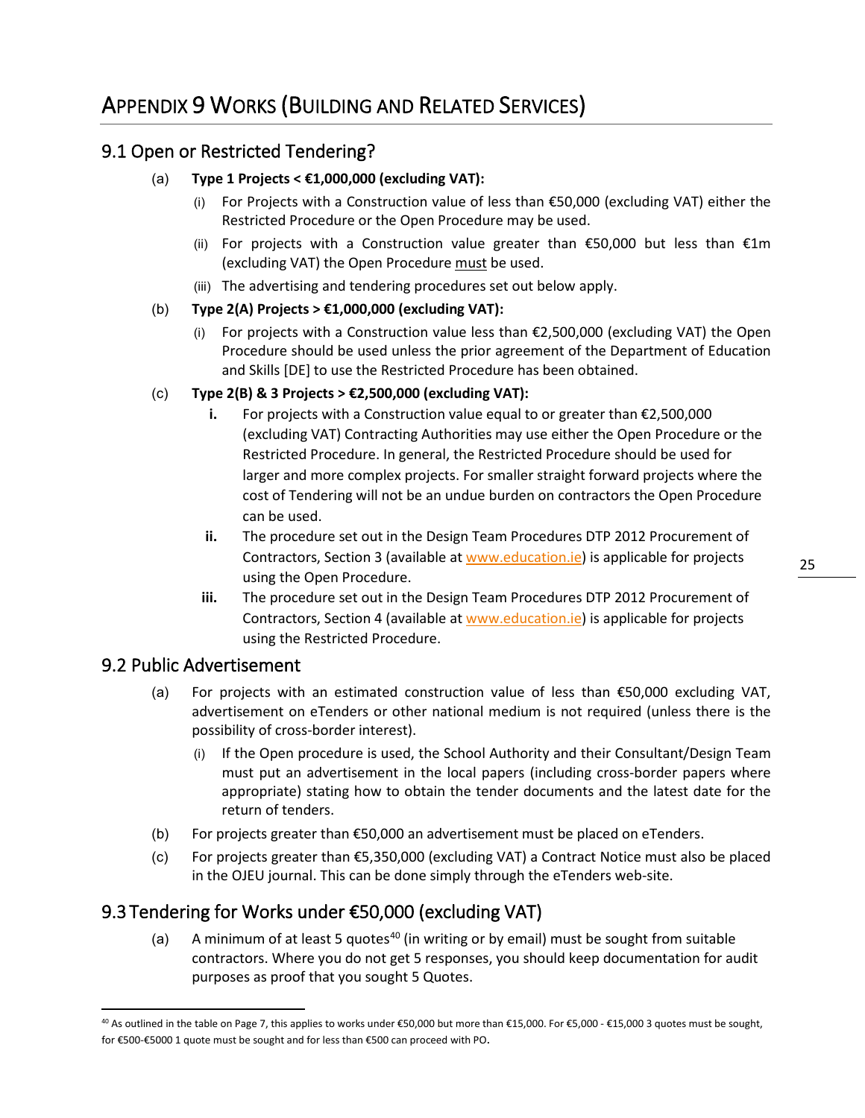### <span id="page-25-0"></span>9.1 Open or Restricted Tendering?

#### (a) **Type 1 Projects < €1,000,000 (excluding VAT):**

- (i) For Projects with a Construction value of less than  $\epsilon$ 50,000 (excluding VAT) either the Restricted Procedure or the Open Procedure may be used.
- (ii) For projects with a Construction value greater than  $\epsilon$ 50,000 but less than  $\epsilon$ 1m (excluding VAT) the Open Procedure must be used.
- (iii) The advertising and tendering procedures set out below apply.

#### (b) **Type 2(A) Projects > €1,000,000 (excluding VAT):**

(i) For projects with a Construction value less than €2,500,000 (excluding VAT) the Open Procedure should be used unless the prior agreement of the Department of Education and Skills [DE] to use the Restricted Procedure has been obtained.

#### (c) **Type 2(B) & 3 Projects > €2,500,000 (excluding VAT):**

- **i.** For projects with a Construction value equal to or greater than €2,500,000 (excluding VAT) Contracting Authorities may use either the Open Procedure or the Restricted Procedure. In general, the Restricted Procedure should be used for larger and more complex projects. For smaller straight forward projects where the cost of Tendering will not be an undue burden on contractors the Open Procedure can be used.
- **ii.** The procedure set out in the Design Team Procedures DTP 2012 Procurement of Contractors, Section 3 (available at [www.education.ie\)](http://www.education.ie/) is applicable for projects using the Open Procedure.
- **iii.** The procedure set out in the Design Team Procedures DTP 2012 Procurement of Contractors, Section 4 (available at [www.education.ie\)](http://www.education.ie/) is applicable for projects using the Restricted Procedure.

#### 9.2 Public Advertisement

- (a) For projects with an estimated construction value of less than  $$50,000$  excluding VAT, advertisement on eTenders or other national medium is not required (unless there is the possibility of cross-border interest).
	- (i) If the Open procedure is used, the School Authority and their Consultant/Design Team must put an advertisement in the local papers (including cross-border papers where appropriate) stating how to obtain the tender documents and the latest date for the return of tenders.
- (b) For projects greater than  $$50,000$  an advertisement must be placed on eTenders.
- (c) For projects greater than €5,350,000 (excluding VAT) a Contract Notice must also be placed in the OJEU journal. This can be done simply through the eTenders web-site.

### 9.3 Tendering for Works under €50,000 (excluding VAT)

(a) A minimum of at least 5 quotes<sup>[40](#page-25-1)</sup> (in writing or by email) must be sought from suitable contractors. Where you do not get 5 responses, you should keep documentation for audit purposes as proof that you sought 5 Quotes.

<span id="page-25-1"></span><sup>40</sup> As outlined in the table on Page 7, this applies to works under €50,000 but more than €15,000. For €5,000 - €15,000 3 quotes must be sought, for €500-€5000 1 quote must be sought and for less than €500 can proceed with PO.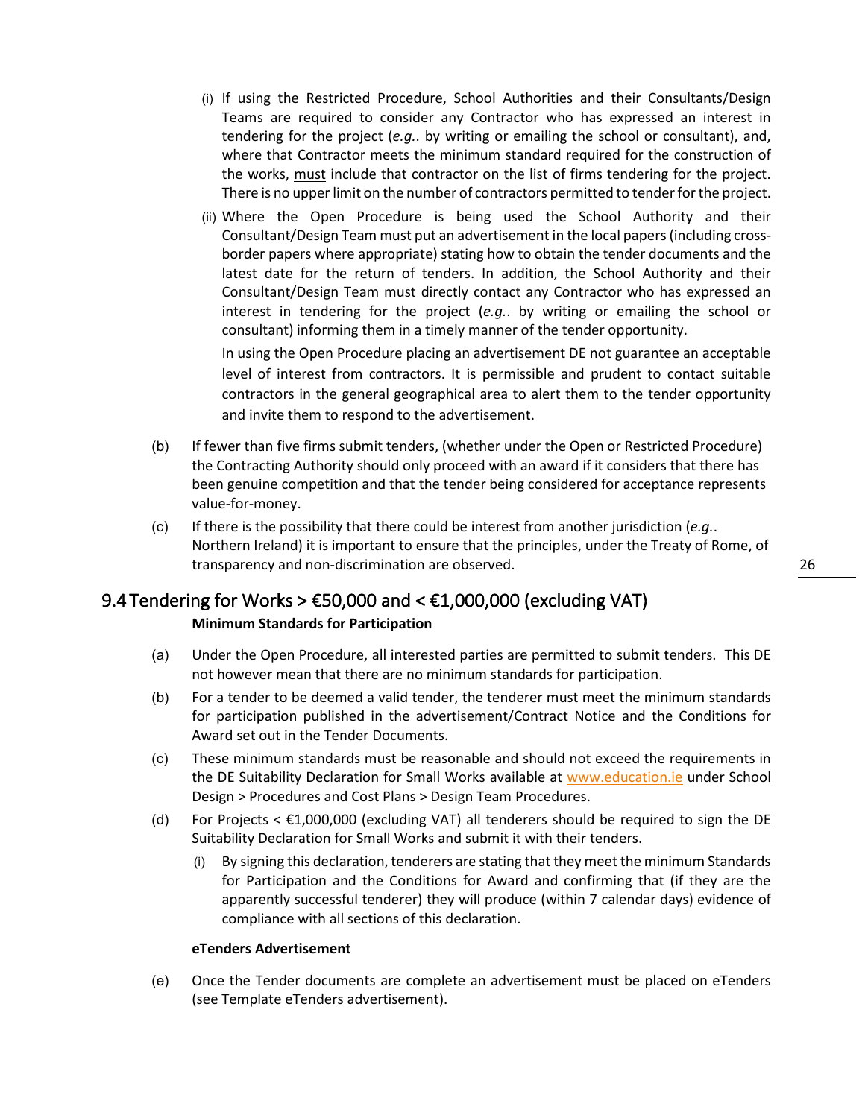- (i) If using the Restricted Procedure, School Authorities and their Consultants/Design Teams are required to consider any Contractor who has expressed an interest in tendering for the project (*e.g.*. by writing or emailing the school or consultant), and, where that Contractor meets the minimum standard required for the construction of the works, must include that contractor on the list of firms tendering for the project. There is no upper limit on the number of contractors permitted to tender for the project.
- (ii) Where the Open Procedure is being used the School Authority and their Consultant/Design Team must put an advertisement in the local papers (including crossborder papers where appropriate) stating how to obtain the tender documents and the latest date for the return of tenders. In addition, the School Authority and their Consultant/Design Team must directly contact any Contractor who has expressed an interest in tendering for the project (*e.g.*. by writing or emailing the school or consultant) informing them in a timely manner of the tender opportunity. In using the Open Procedure placing an advertisement DE not guarantee an acceptable

level of interest from contractors. It is permissible and prudent to contact suitable contractors in the general geographical area to alert them to the tender opportunity and invite them to respond to the advertisement.

- (b) If fewer than five firms submit tenders, (whether under the Open or Restricted Procedure) the Contracting Authority should only proceed with an award if it considers that there has been genuine competition and that the tender being considered for acceptance represents value-for-money.
- (c) If there is the possibility that there could be interest from another jurisdiction (*e.g.*. Northern Ireland) it is important to ensure that the principles, under the Treaty of Rome, of transparency and non-discrimination are observed.

#### 9.4 Tendering for Works  $> \text{\textsterling}50,000$  and  $< \text{\textsterling}1,000,000$  (excluding VAT)

#### **Minimum Standards for Participation**

- (a) Under the Open Procedure, all interested parties are permitted to submit tenders. This DE not however mean that there are no minimum standards for participation.
- (b) For a tender to be deemed a valid tender, the tenderer must meet the minimum standards for participation published in the advertisement/Contract Notice and the Conditions for Award set out in the Tender Documents.
- (c) These minimum standards must be reasonable and should not exceed the requirements in the DE Suitability Declaration for Small Works available at [www.education.ie](http://www.education.ie/) under School Design > Procedures and Cost Plans > Design Team Procedures.
- (d) For Projects  $\leq \text{\pounds}1,000,000$  (excluding VAT) all tenderers should be required to sign the DE Suitability Declaration for Small Works and submit it with their tenders.
	- (i) By signing this declaration, tenderers are stating that they meet the minimum Standards for Participation and the Conditions for Award and confirming that (if they are the apparently successful tenderer) they will produce (within 7 calendar days) evidence of compliance with all sections of this declaration.

#### **eTenders Advertisement**

(e) Once the Tender documents are complete an advertisement must be placed on eTenders (see Template eTenders advertisement).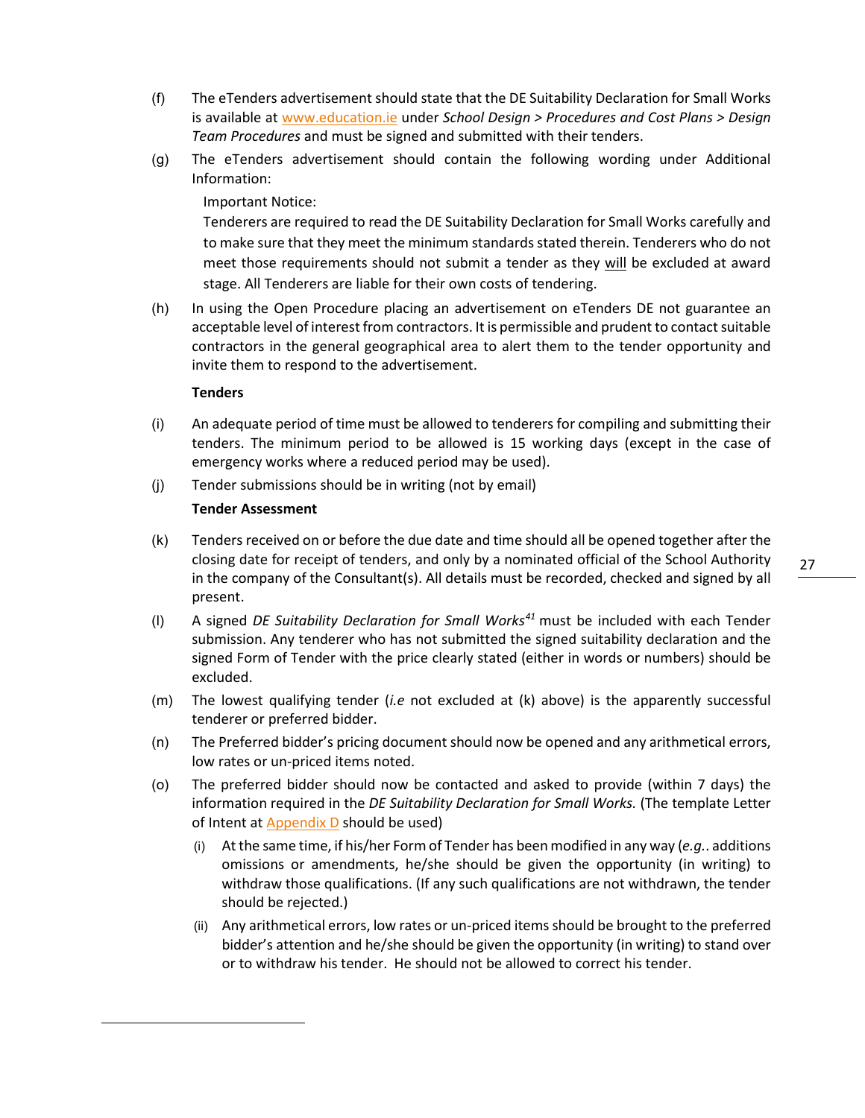- (f) The eTenders advertisement should state that the DE Suitability Declaration for Small Works is available at [www.education.ie](http://www.education.ie/) under *School Design > Procedures and Cost Plans > Design Team Procedures* and must be signed and submitted with their tenders.
- (g) The eTenders advertisement should contain the following wording under Additional Information:

Important Notice:

Tenderers are required to read the DE Suitability Declaration for Small Works carefully and to make sure that they meet the minimum standards stated therein. Tenderers who do not meet those requirements should not submit a tender as they will be excluded at award stage. All Tenderers are liable for their own costs of tendering.

(h) In using the Open Procedure placing an advertisement on eTenders DE not guarantee an acceptable level of interest from contractors. It is permissible and prudent to contact suitable contractors in the general geographical area to alert them to the tender opportunity and invite them to respond to the advertisement.

#### **Tenders**

- (i) An adequate period of time must be allowed to tenderers for compiling and submitting their tenders. The minimum period to be allowed is 15 working days (except in the case of emergency works where a reduced period may be used).
- (j) Tender submissions should be in writing (not by email)

#### **Tender Assessment**

- (k) Tenders received on or before the due date and time should all be opened together after the closing date for receipt of tenders, and only by a nominated official of the School Authority in the company of the Consultant(s). All details must be recorded, checked and signed by all present.
- (l) A signed *DE Suitability Declaration for Small Works[41](#page-27-0)* must be included with each Tender submission. Any tenderer who has not submitted the signed suitability declaration and the signed Form of Tender with the price clearly stated (either in words or numbers) should be excluded.
- (m) The lowest qualifying tender (*i.e* not excluded at (k) above) is the apparently successful tenderer or preferred bidder.
- <span id="page-27-1"></span>(n) The Preferred bidder's pricing document should now be opened and any arithmetical errors, low rates or un-priced items noted.
- <span id="page-27-0"></span>(o) The preferred bidder should now be contacted and asked to provide (within 7 days) the information required in the *DE Suitability Declaration for Small Works.* (The template Letter of Intent at Appendix D should be used)
	- (i) At the same time, if his/her Form of Tender has been modified in any way (*e.g.*. additions omissions or amendments, he/she should be given the opportunity (in writing) to withdraw those qualifications. (If any such qualifications are not withdrawn, the tender should be rejected.)
	- (ii) Any arithmetical errors, low rates or un-priced items should be brought to the preferred bidder's attention and he/she should be given the opportunity (in writing) to stand over or to withdraw his tender. He should not be allowed to correct his tender.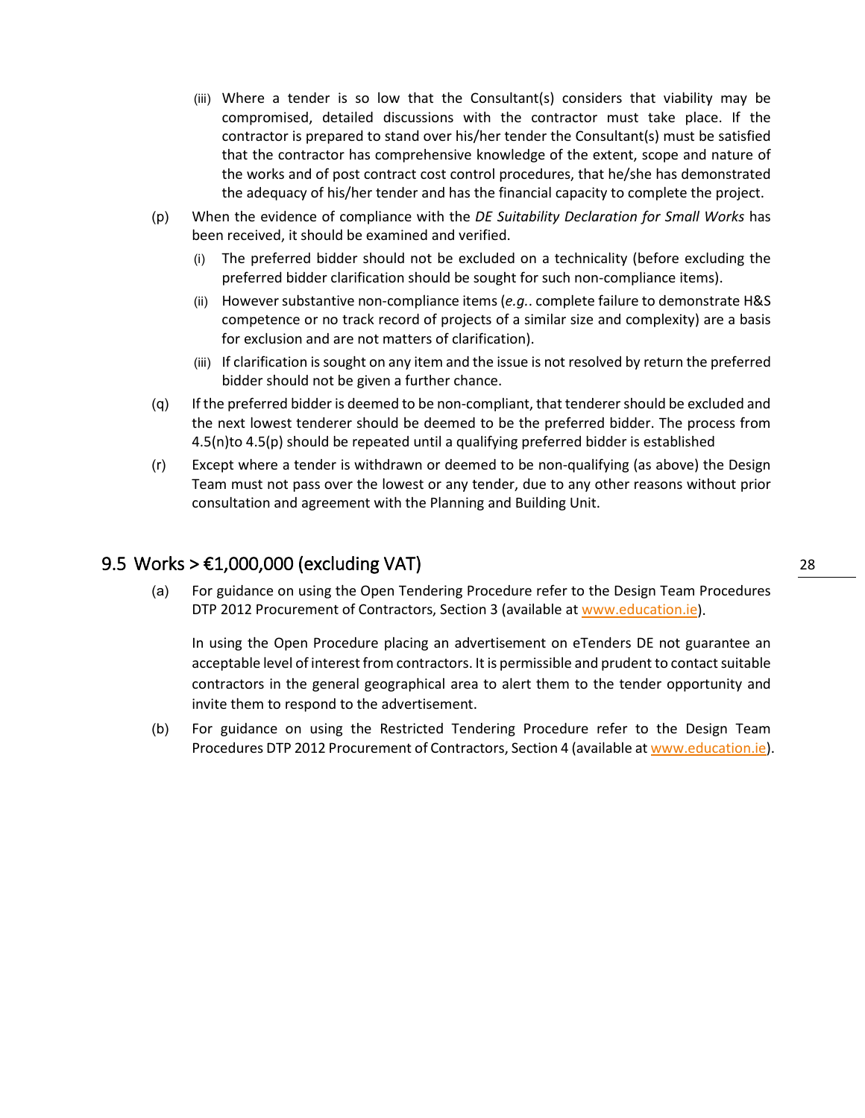- (iii) Where a tender is so low that the Consultant(s) considers that viability may be compromised, detailed discussions with the contractor must take place. If the contractor is prepared to stand over his/her tender the Consultant(s) must be satisfied that the contractor has comprehensive knowledge of the extent, scope and nature of the works and of post contract cost control procedures, that he/she has demonstrated the adequacy of his/her tender and has the financial capacity to complete the project.
- <span id="page-28-0"></span>(p) When the evidence of compliance with the *DE Suitability Declaration for Small Works* has been received, it should be examined and verified.
	- (i) The preferred bidder should not be excluded on a technicality (before excluding the preferred bidder clarification should be sought for such non-compliance items).
	- (ii) However substantive non-compliance items (*e.g.*. complete failure to demonstrate H&S competence or no track record of projects of a similar size and complexity) are a basis for exclusion and are not matters of clarification).
	- (iii) If clarification is sought on any item and the issue is not resolved by return the preferred bidder should not be given a further chance.
- (q) If the preferred bidder is deemed to be non-compliant, that tenderer should be excluded and the next lowest tenderer should be deemed to be the preferred bidder. The process from 4.[5\(n\)t](#page-27-1)o 4.[5\(p\)](#page-28-0) should be repeated until a qualifying preferred bidder is established
- (r) Except where a tender is withdrawn or deemed to be non-qualifying (as above) the Design Team must not pass over the lowest or any tender, due to any other reasons without prior consultation and agreement with the Planning and Building Unit.

#### 9.5 Works  $> \text{\textsterling}1,000,000$  (excluding VAT)

(a) For guidance on using the Open Tendering Procedure refer to the Design Team Procedures DTP 2012 Procurement of Contractors, Section 3 (available at [www.education.ie\)](http://www.education.ie/).

In using the Open Procedure placing an advertisement on eTenders DE not guarantee an acceptable level of interest from contractors. It is permissible and prudent to contact suitable contractors in the general geographical area to alert them to the tender opportunity and invite them to respond to the advertisement.

(b) For guidance on using the Restricted Tendering Procedure refer to the Design Team Procedures DTP 2012 Procurement of Contractors, Section 4 (available a[t www.education.ie\)](http://www.education.ie/).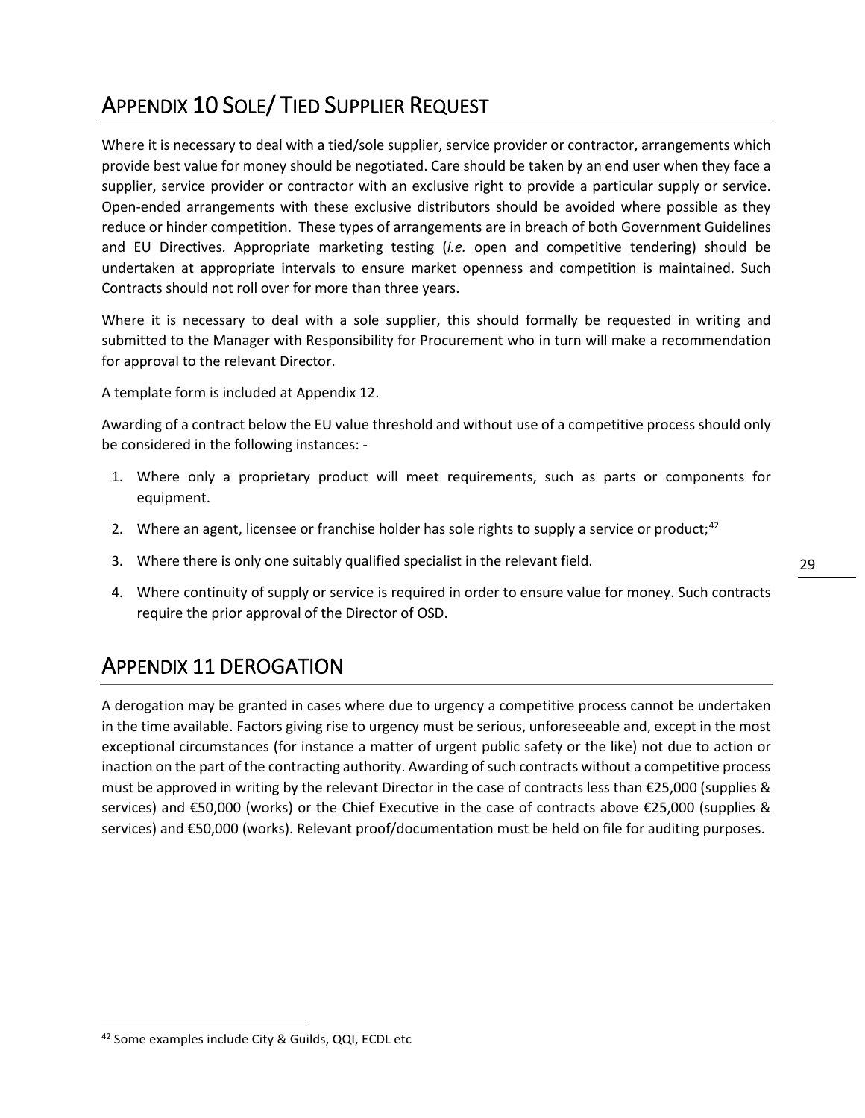# <span id="page-29-1"></span>APPENDIX 10 SOLE/ TIED SUPPLIER REQUEST

Where it is necessary to deal with a tied/sole supplier, service provider or contractor, arrangements which provide best value for money should be negotiated. Care should be taken by an end user when they face a supplier, service provider or contractor with an exclusive right to provide a particular supply or service. Open-ended arrangements with these exclusive distributors should be avoided where possible as they reduce or hinder competition. These types of arrangements are in breach of both Government Guidelines and EU Directives. Appropriate marketing testing (*i.e.* open and competitive tendering) should be undertaken at appropriate intervals to ensure market openness and competition is maintained. Such Contracts should not roll over for more than three years.

Where it is necessary to deal with a sole supplier, this should formally be requested in writing and submitted to the Manager with Responsibility for Procurement who in turn will make a recommendation for approval to the relevant Director.

A template form is included at Appendix 12.

Awarding of a contract below the EU value threshold and without use of a competitive process should only be considered in the following instances: -

- 1. Where only a proprietary product will meet requirements, such as parts or components for equipment.
- 2. Where an agent, licensee or franchise holder has sole rights to supply a service or product;<sup>[42](#page-29-2)</sup>
- 3. Where there is only one suitably qualified specialist in the relevant field.
- 4. Where continuity of supply or service is required in order to ensure value for money. Such contracts require the prior approval of the Director of OSD.

### <span id="page-29-0"></span>APPENDIX 11 DEROGATION

A derogation may be granted in cases where due to urgency a competitive process cannot be undertaken in the time available. Factors giving rise to urgency must be serious, unforeseeable and, except in the most exceptional circumstances (for instance a matter of urgent public safety or the like) not due to action or inaction on the part of the contracting authority. Awarding of such contracts without a competitive process must be approved in writing by the relevant Director in the case of contracts less than €25,000 (supplies & services) and €50,000 (works) or the Chief Executive in the case of contracts above €25,000 (supplies & services) and €50,000 (works). Relevant proof/documentation must be held on file for auditing purposes.

<span id="page-29-2"></span><sup>42</sup> Some examples include City & Guilds, QQI, ECDL etc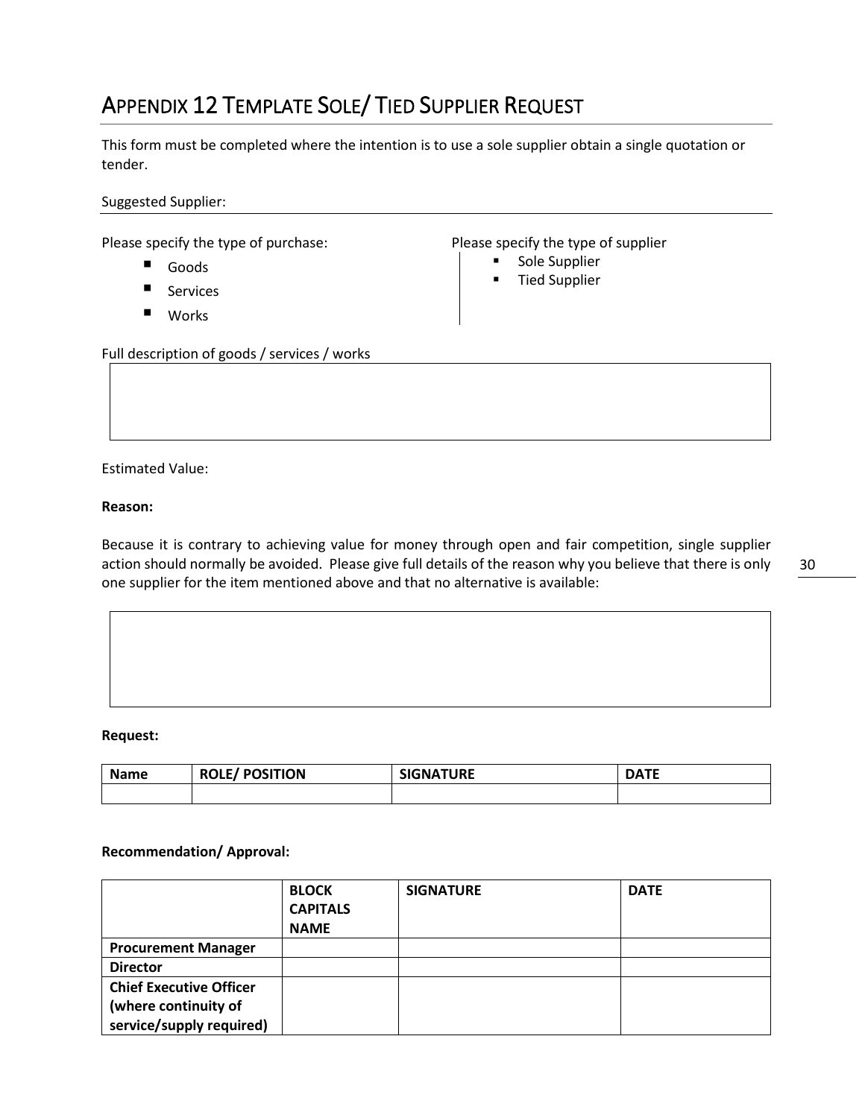# <span id="page-30-0"></span>APPENDIX 12 TEMPLATE SOLE/ TIED SUPPLIER REQUEST

This form must be completed where the intention is to use a sole supplier obtain a single quotation or tender.

Suggested Supplier:

Please specify the type of purchase: Please specify the type of supplier

- Goods
- Services
- Works

- **Sole Supplier**
- **Tied Supplier**

Full description of goods / services / works

Estimated Value:

#### **Reason:**

Because it is contrary to achieving value for money through open and fair competition, single supplier action should normally be avoided. Please give full details of the reason why you believe that there is only one supplier for the item mentioned above and that no alternative is available:

#### **Request:**

| <b>Name</b> | <b>ROLE/POSITION</b> | <b>SIGNATURE</b> | DATE |
|-------------|----------------------|------------------|------|
|             |                      |                  |      |

#### **Recommendation/ Approval:**

|                                | <b>BLOCK</b><br><b>CAPITALS</b> | <b>SIGNATURE</b> | <b>DATE</b> |
|--------------------------------|---------------------------------|------------------|-------------|
|                                | <b>NAME</b>                     |                  |             |
| <b>Procurement Manager</b>     |                                 |                  |             |
| <b>Director</b>                |                                 |                  |             |
| <b>Chief Executive Officer</b> |                                 |                  |             |
| (where continuity of           |                                 |                  |             |
| service/supply required)       |                                 |                  |             |